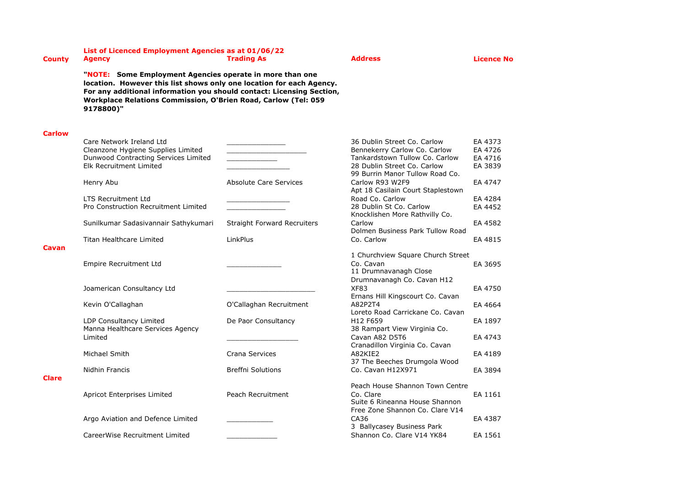## **List of Licenced Employment Agencies as at 01/06/22**

**County Agency Trading As Address Licence No**

**"NOTE: Some Employment Agencies operate in more than one location. However this list shows only one location for each Agency. For any additional information you should contact: Licensing Section, Workplace Relations Commission, O'Brien Road, Carlow (Tel: 059 9178800)"**

## **Carlow**

|              | Care Network Ireland Ltd<br>Cleanzone Hygiene Supplies Limited<br>Dunwood Contracting Services Limited<br>Elk Recruitment Limited |                                    | 36 Dublin Street Co. Carlow<br>Bennekerry Carlow Co. Carlow<br>Tankardstown Tullow Co. Carlow<br>28 Dublin Street Co. Carlow<br>99 Burrin Manor Tullow Road Co. | EA 4373<br>EA 4726<br>EA 4716<br>EA 3839 |
|--------------|-----------------------------------------------------------------------------------------------------------------------------------|------------------------------------|-----------------------------------------------------------------------------------------------------------------------------------------------------------------|------------------------------------------|
|              | Henry Abu                                                                                                                         | <b>Absolute Care Services</b>      | Carlow R93 W2F9<br>Apt 18 Casilain Court Staplestown                                                                                                            | EA 4747                                  |
|              | <b>LTS Recruitment Ltd</b><br>Pro Construction Recruitment Limited                                                                |                                    | Road Co. Carlow<br>28 Dublin St Co. Carlow<br>Knocklishen More Rathvilly Co.                                                                                    | EA 4284<br>EA 4452                       |
|              | Sunilkumar Sadasivannair Sathykumari                                                                                              | <b>Straight Forward Recruiters</b> | Carlow<br>Dolmen Business Park Tullow Road                                                                                                                      | EA 4582                                  |
|              | <b>Titan Healthcare Limited</b>                                                                                                   | LinkPlus                           | Co. Carlow                                                                                                                                                      | EA 4815                                  |
| Cavan        | <b>Empire Recruitment Ltd</b>                                                                                                     |                                    | 1 Churchview Square Church Street<br>Co. Cavan<br>11 Drumnavanagh Close<br>Drumnavanagh Co. Cavan H12                                                           | EA 3695                                  |
|              | Joamerican Consultancy Ltd                                                                                                        |                                    | <b>XF83</b>                                                                                                                                                     | EA 4750                                  |
|              | Kevin O'Callaghan                                                                                                                 | O'Callaghan Recruitment            | Ernans Hill Kingscourt Co. Cavan<br>A82P2T4<br>Loreto Road Carrickane Co. Cavan                                                                                 | EA 4664                                  |
|              | LDP Consultancy Limited                                                                                                           | De Paor Consultancy                | H12 F659                                                                                                                                                        | EA 1897                                  |
|              | Manna Healthcare Services Agency<br>Limited                                                                                       |                                    | 38 Rampart View Virginia Co.<br>Cavan A82 D5T6<br>Cranadillon Virginia Co. Cavan                                                                                | EA 4743                                  |
|              | Michael Smith                                                                                                                     | Crana Services                     | A82KIE2                                                                                                                                                         | EA 4189                                  |
| <b>Clare</b> | Nidhin Francis                                                                                                                    | <b>Breffni Solutions</b>           | 37 The Beeches Drumgola Wood<br>Co. Cavan H12X971                                                                                                               | EA 3894                                  |
|              | Apricot Enterprises Limited                                                                                                       | Peach Recruitment                  | Peach House Shannon Town Centre<br>Co. Clare<br>Suite 6 Rineanna House Shannon<br>Free Zone Shannon Co. Clare V14                                               | EA 1161                                  |
|              | Argo Aviation and Defence Limited                                                                                                 |                                    | CA36<br>3 Ballycasey Business Park                                                                                                                              | EA 4387                                  |
|              | CareerWise Recruitment Limited                                                                                                    |                                    | Shannon Co. Clare V14 YK84                                                                                                                                      | EA 1561                                  |
|              |                                                                                                                                   |                                    |                                                                                                                                                                 |                                          |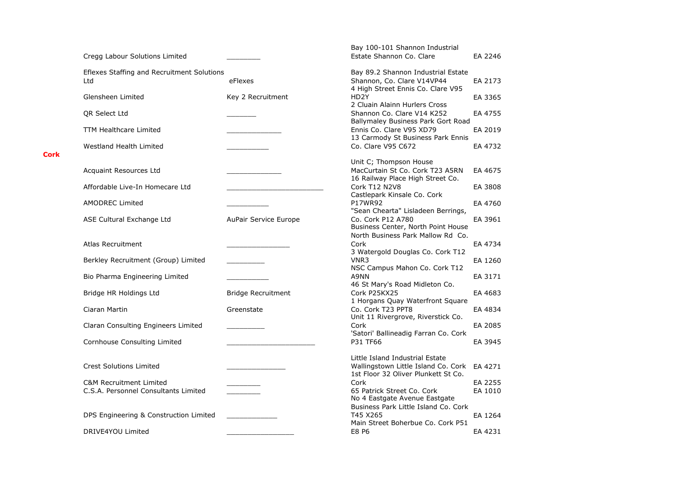| Cregg Labour Solutions Limited                                             |                           | Bay 100-101 Shannon Industrial<br>Estate Shannon Co. Clare                                                    | EA 2246            |
|----------------------------------------------------------------------------|---------------------------|---------------------------------------------------------------------------------------------------------------|--------------------|
| Eflexes Staffing and Recruitment Solutions                                 |                           | Bay 89.2 Shannon Industrial Estate                                                                            |                    |
| Ltd                                                                        | eFlexes                   | Shannon, Co. Clare V14VP44<br>4 High Street Ennis Co. Clare V95                                               | EA 2173            |
| Glensheen Limited                                                          | Key 2 Recruitment         | HD <sub>2</sub> Y<br>2 Cluain Alainn Hurlers Cross                                                            | EA 3365            |
| QR Select Ltd                                                              |                           | Shannon Co. Clare V14 K252<br>Ballymaley Business Park Gort Road                                              | EA 4755            |
| <b>TTM Healthcare Limited</b>                                              |                           | Ennis Co. Clare V95 XD79<br>13 Carmody St Business Park Ennis                                                 | EA 2019            |
| Westland Health Limited                                                    |                           | Co. Clare V95 C672                                                                                            | EA 4732            |
| Acquaint Resources Ltd                                                     |                           | Unit C; Thompson House<br>MacCurtain St Co. Cork T23 A5RN<br>16 Railway Place High Street Co.                 | EA 4675            |
| Affordable Live-In Homecare Ltd                                            |                           | Cork T12 N2V8<br>Castlepark Kinsale Co. Cork                                                                  | EA 3808            |
| <b>AMODREC Limited</b>                                                     |                           | P17WR92<br>"Sean Chearta" Lisladeen Berrings,                                                                 | EA 4760            |
| ASE Cultural Exchange Ltd                                                  | AuPair Service Europe     | Co. Cork P12 A780<br>Business Center, North Point House<br>North Business Park Mallow Rd Co.                  | EA 3961            |
| Atlas Recruitment                                                          |                           | Cork<br>3 Watergold Douglas Co. Cork T12                                                                      | EA 4734            |
| Berkley Recruitment (Group) Limited                                        |                           | VNR3<br>NSC Campus Mahon Co. Cork T12                                                                         | EA 1260            |
| Bio Pharma Engineering Limited                                             |                           | A9NN<br>46 St Mary's Road Midleton Co.                                                                        | EA 3171            |
| Bridge HR Holdings Ltd                                                     | <b>Bridge Recruitment</b> | Cork P25KX25<br>1 Horgans Quay Waterfront Square                                                              | EA 4683            |
| Ciaran Martin                                                              | Greenstate                | Co. Cork T23 PPT8<br>Unit 11 Rivergrove, Riverstick Co.                                                       | EA 4834            |
| Claran Consulting Engineers Limited                                        |                           | Cork<br>'Satori' Ballineadig Farran Co. Cork                                                                  | EA 2085            |
| Cornhouse Consulting Limited                                               |                           | P31 TF66                                                                                                      | EA 3945            |
| <b>Crest Solutions Limited</b>                                             |                           | Little Island Industrial Estate<br>Wallingstown Little Island Co. Cork<br>1st Floor 32 Oliver Plunkett St Co. | EA 4271            |
| <b>C&amp;M Recruitment Limited</b><br>C.S.A. Personnel Consultants Limited |                           | Cork<br>65 Patrick Street Co. Cork<br>No 4 Eastgate Avenue Eastgate                                           | EA 2255<br>EA 1010 |
| DPS Engineering & Construction Limited                                     |                           | Business Park Little Island Co. Cork<br>T45 X265<br>Main Street Boherbue Co. Cork P51                         | EA 1264            |
| DRIVE4YOU Limited                                                          |                           | E8 P6                                                                                                         | EA 4231            |

**Cork**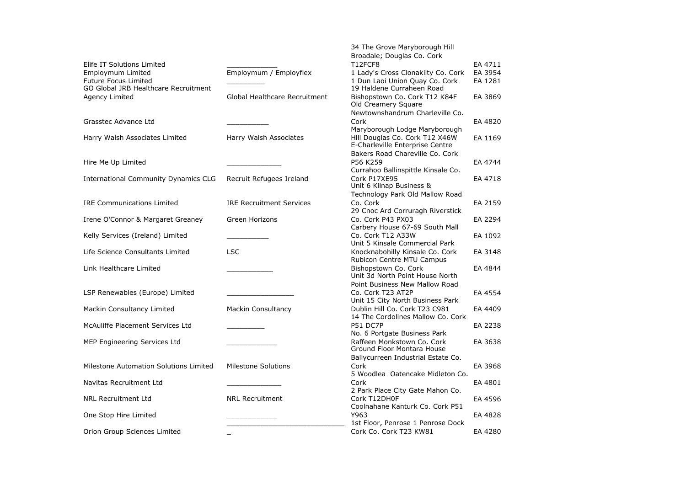|                                                                     |                                 | 34 The Grove Maryborough Hill                                      |         |
|---------------------------------------------------------------------|---------------------------------|--------------------------------------------------------------------|---------|
|                                                                     |                                 | Broadale; Douglas Co. Cork                                         |         |
| Elife IT Solutions Limited                                          |                                 | T12FCF8                                                            | EA 4711 |
| Employmum Limited                                                   | Employmum / Employflex          | 1 Lady's Cross Clonakilty Co. Cork                                 | EA 3954 |
| <b>Future Focus Limited</b><br>GO Global JRB Healthcare Recruitment |                                 | 1 Dun Laoi Union Quay Co. Cork<br>19 Haldene Curraheen Road        | EA 1281 |
| Agency Limited                                                      | Global Healthcare Recruitment   | Bishopstown Co. Cork T12 K84F<br>Old Creamery Square               | EA 3869 |
|                                                                     |                                 | Newtownshandrum Charleville Co.                                    |         |
| Grasstec Advance Ltd                                                |                                 | Cork                                                               | EA 4820 |
|                                                                     |                                 | Maryborough Lodge Maryborough                                      |         |
| Harry Walsh Associates Limited                                      | Harry Walsh Associates          | Hill Douglas Co. Cork T12 X46W<br>E-Charleville Enterprise Centre  | EA 1169 |
|                                                                     |                                 | Bakers Road Chareville Co. Cork                                    |         |
| Hire Me Up Limited                                                  |                                 | P56 K259                                                           | EA 4744 |
|                                                                     |                                 | Currahoo Ballinspittle Kinsale Co.                                 |         |
| International Community Dynamics CLG                                | Recruit Refugees Ireland        | Cork P17XE95<br>Unit 6 Kilnap Business &                           | EA 4718 |
|                                                                     |                                 | Technology Park Old Mallow Road                                    |         |
| <b>IRE Communications Limited</b>                                   | <b>IRE Recruitment Services</b> | Co. Cork                                                           | EA 2159 |
|                                                                     |                                 | 29 Cnoc Ard Corruragh Riverstick                                   |         |
| Irene O'Connor & Margaret Greaney                                   | Green Horizons                  | Co. Cork P43 PX03                                                  | EA 2294 |
|                                                                     |                                 | Carbery House 67-69 South Mall                                     |         |
| Kelly Services (Ireland) Limited                                    |                                 | Co. Cork T12 A33W                                                  | EA 1092 |
|                                                                     |                                 | Unit 5 Kinsale Commercial Park                                     |         |
| Life Science Consultants Limited                                    | <b>LSC</b>                      | Knocknabohilly Kinsale Co. Cork<br>Rubicon Centre MTU Campus       | EA 3148 |
| Link Healthcare Limited                                             |                                 | Bishopstown Co. Cork                                               | EA 4844 |
|                                                                     |                                 | Unit 3d North Point House North                                    |         |
|                                                                     |                                 | Point Business New Mallow Road                                     |         |
| LSP Renewables (Europe) Limited                                     |                                 | Co. Cork T23 AT2P                                                  | EA 4554 |
|                                                                     |                                 | Unit 15 City North Business Park                                   |         |
| Mackin Consultancy Limited                                          | <b>Mackin Consultancy</b>       | Dublin Hill Co. Cork T23 C981<br>14 The Cordolines Mallow Co. Cork | EA 4409 |
| McAuliffe Placement Services Ltd                                    |                                 | P51 DC7P                                                           | EA 2238 |
|                                                                     |                                 | No. 6 Portgate Business Park                                       |         |
| MEP Engineering Services Ltd                                        |                                 | Raffeen Monkstown Co. Cork<br>Ground Floor Montara House           | EA 3638 |
|                                                                     |                                 | Ballycurreen Industrial Estate Co.                                 |         |
| Milestone Automation Solutions Limited                              | <b>Milestone Solutions</b>      | Cork                                                               | EA 3968 |
|                                                                     |                                 | 5 Woodlea Oatencake Midleton Co.                                   |         |
| Navitas Recruitment Ltd                                             |                                 | Cork                                                               | EA 4801 |
|                                                                     |                                 | 2 Park Place City Gate Mahon Co.                                   |         |
| <b>NRL Recruitment Ltd</b>                                          | <b>NRL Recruitment</b>          | Cork T12DH0F                                                       | EA 4596 |
|                                                                     |                                 | Coolnahane Kanturk Co. Cork P51                                    |         |
| One Stop Hire Limited                                               |                                 | Y963                                                               | EA 4828 |
|                                                                     |                                 | 1st Floor, Penrose 1 Penrose Dock                                  |         |
| Orion Group Sciences Limited                                        |                                 | Cork Co. Cork T23 KW81                                             | EA 4280 |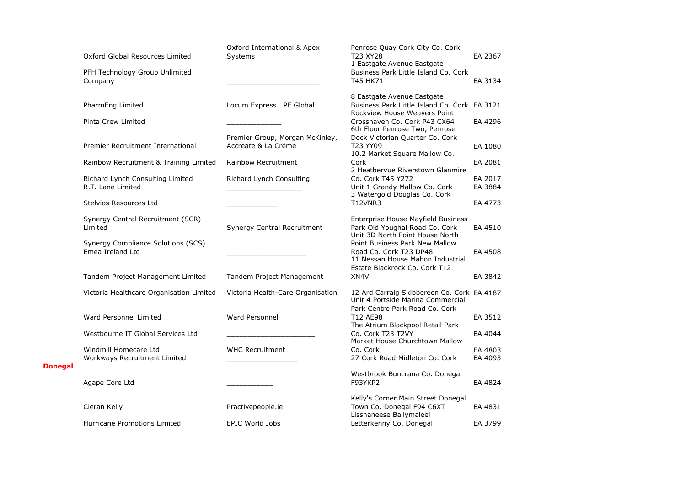|                | Oxford Global Resources Limited                        | Oxford International & Apex<br>Systems                 | Penrose Quay Cork City Co. Cork<br>T23 XY28<br>1 Eastgate Avenue Eastgate                                              | EA 2367            |
|----------------|--------------------------------------------------------|--------------------------------------------------------|------------------------------------------------------------------------------------------------------------------------|--------------------|
|                | PFH Technology Group Unlimited<br>Company              |                                                        | Business Park Little Island Co. Cork<br>T45 HK71                                                                       | EA 3134            |
|                | PharmEng Limited                                       | Locum Express PE Global                                | 8 Eastgate Avenue Eastgate<br>Business Park Little Island Co. Cork EA 3121<br>Rockview House Weavers Point             |                    |
|                | Pinta Crew Limited                                     |                                                        | Crosshaven Co. Cork P43 CX64                                                                                           | EA 4296            |
|                | Premier Recruitment International                      | Premier Group, Morgan McKinley,<br>Accreate & La Créme | 6th Floor Penrose Two, Penrose<br>Dock Victorian Quarter Co. Cork<br>T23 YY09<br>10.2 Market Square Mallow Co.         | EA 1080            |
|                | Rainbow Recruitment & Training Limited                 | Rainbow Recruitment                                    | Cork                                                                                                                   | EA 2081            |
|                | Richard Lynch Consulting Limited<br>R.T. Lane Limited  | Richard Lynch Consulting                               | 2 Heathervue Riverstown Glanmire<br>Co. Cork T45 Y272<br>Unit 1 Grandy Mallow Co. Cork<br>3 Watergold Douglas Co. Cork | EA 2017<br>EA 3884 |
|                | Stelvios Resources Ltd                                 |                                                        | T12VNR3                                                                                                                | EA 4773            |
|                | Synergy Central Recruitment (SCR)<br>Limited           | Synergy Central Recruitment                            | Enterprise House Mayfield Business<br>Park Old Youghal Road Co. Cork<br>Unit 3D North Point House North                | EA 4510            |
|                | Synergy Compliance Solutions (SCS)<br>Emea Ireland Ltd |                                                        | Point Business Park New Mallow<br>Road Co. Cork T23 DP48<br>11 Nessan House Mahon Industrial                           | EA 4508            |
|                | Tandem Project Management Limited                      | Tandem Project Management                              | Estate Blackrock Co. Cork T12<br>XN4V                                                                                  | EA 3842            |
|                | Victoria Healthcare Organisation Limited               | Victoria Health-Care Organisation                      | 12 Ard Carraig Skibbereen Co. Cork EA 4187<br>Unit 4 Portside Marina Commercial                                        |                    |
|                | Ward Personnel Limited                                 | Ward Personnel                                         | Park Centre Park Road Co. Cork<br>T12 AE98<br>The Atrium Blackpool Retail Park                                         | EA 3512            |
|                | Westbourne IT Global Services Ltd                      |                                                        | Co. Cork T23 T2VY                                                                                                      | EA 4044            |
|                | Windmill Homecare Ltd<br>Workways Recruitment Limited  | <b>WHC Recruitment</b>                                 | Market House Churchtown Mallow<br>Co. Cork<br>27 Cork Road Midleton Co. Cork                                           | EA 4803<br>EA 4093 |
| <b>Donegal</b> | Agape Core Ltd                                         |                                                        | Westbrook Buncrana Co. Donegal<br>F93YKP2                                                                              | EA 4824            |
|                | Cieran Kelly                                           | Practivepeople.ie                                      | Kelly's Corner Main Street Donegal<br>Town Co. Donegal F94 C6XT<br>Lissnaneese Ballymaleel                             | EA 4831            |
|                | Hurricane Promotions Limited                           | <b>EPIC World Jobs</b>                                 | Letterkenny Co. Donegal                                                                                                | EA 3799            |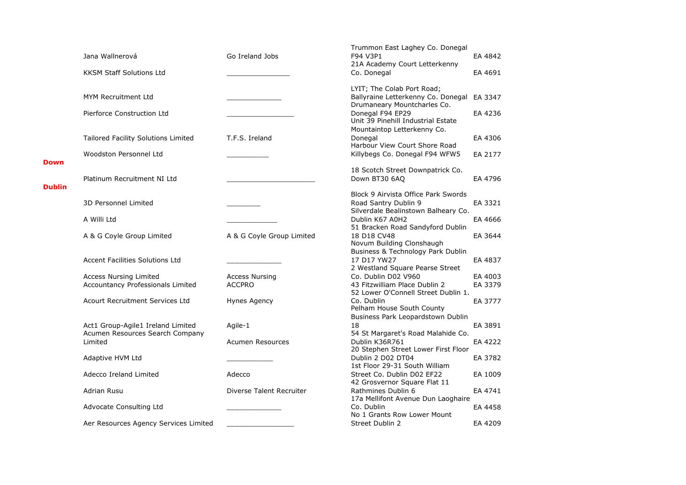|               | Jana Wallnerová                                                      | Go Ireland Jobs           | Trummon East Laghey Co. Donegal<br>F94 V3P1                                                     | EA 4842 |
|---------------|----------------------------------------------------------------------|---------------------------|-------------------------------------------------------------------------------------------------|---------|
|               |                                                                      |                           | 21A Academy Court Letterkenny                                                                   |         |
|               | <b>KKSM Staff Solutions Ltd</b>                                      |                           | Co. Donegal                                                                                     | EA 4691 |
|               | <b>MYM Recruitment Ltd</b>                                           |                           | LYIT; The Colab Port Road;<br>Ballyraine Letterkenny Co. Donegal<br>Drumaneary Mountcharles Co. | EA 3347 |
|               | Pierforce Construction Ltd                                           |                           | Donegal F94 EP29<br>Unit 39 Pinehill Industrial Estate<br>Mountaintop Letterkenny Co.           | EA 4236 |
|               | Tailored Facility Solutions Limited                                  | T.F.S. Ireland            | Donegal<br>Harbour View Court Shore Road                                                        | EA 4306 |
|               | Woodston Personnel Ltd                                               |                           | Killybegs Co. Donegal F94 WFW5                                                                  | EA 2177 |
| Down          |                                                                      |                           |                                                                                                 |         |
| <b>Dublin</b> | Platinum Recruitment NI Ltd                                          |                           | 18 Scotch Street Downpatrick Co.<br>Down BT30 6AQ                                               | EA 4796 |
|               |                                                                      |                           | Block 9 Airvista Office Park Swords                                                             |         |
|               | 3D Personnel Limited                                                 |                           | Road Santry Dublin 9<br>Silverdale Bealinstown Balheary Co.                                     | EA 3321 |
|               | A Willi Ltd                                                          |                           | Dublin K67 A0H2                                                                                 | EA 4666 |
|               | A & G Coyle Group Limited                                            | A & G Coyle Group Limited | 51 Bracken Road Sandyford Dublin<br>18 D18 CV48<br>Novum Building Clonshaugh                    | EA 3644 |
|               | <b>Accent Facilities Solutions Ltd</b>                               |                           | Business & Technology Park Dublin<br>17 D17 YW27<br>2 Westland Square Pearse Street             | EA 4837 |
|               | <b>Access Nursing Limited</b>                                        | <b>Access Nursing</b>     | Co. Dublin D02 V960                                                                             | EA 4003 |
|               | Accountancy Professionals Limited                                    | <b>ACCPRO</b>             | 43 Fitzwilliam Place Dublin 2<br>52 Lower O'Connell Street Dublin 1.                            | EA 3379 |
|               | <b>Acourt Recruitment Services Ltd</b>                               | Hynes Agency              | Co. Dublin<br>Pelham House South County<br>Business Park Leopardstown Dublin                    | EA 3777 |
|               | Act1 Group-Agile1 Ireland Limited<br>Acumen Resources Search Company | Agile-1                   | 18<br>54 St Margaret's Road Malahide Co.                                                        | EA 3891 |
|               | Limited                                                              | <b>Acumen Resources</b>   | Dublin K36R761<br>20 Stephen Street Lower First Floor                                           | EA 4222 |
|               | Adaptive HVM Ltd                                                     |                           | Dublin 2 D02 DT04<br>1st Floor 29-31 South William                                              | EA 3782 |
|               | Adecco Ireland Limited                                               | Adecco                    | Street Co. Dublin D02 EF22<br>42 Grosvernor Square Flat 11                                      | EA 1009 |
|               | Adrian Rusu                                                          | Diverse Talent Recruiter  | Rathmines Dublin 6<br>17a Mellifont Avenue Dun Laoghaire                                        | EA 4741 |
|               | Advocate Consulting Ltd                                              |                           | Co. Dublin<br>No 1 Grants Row Lower Mount                                                       | EA 4458 |
|               | Aer Resources Agency Services Limited                                |                           | Street Dublin 2                                                                                 | EA 4209 |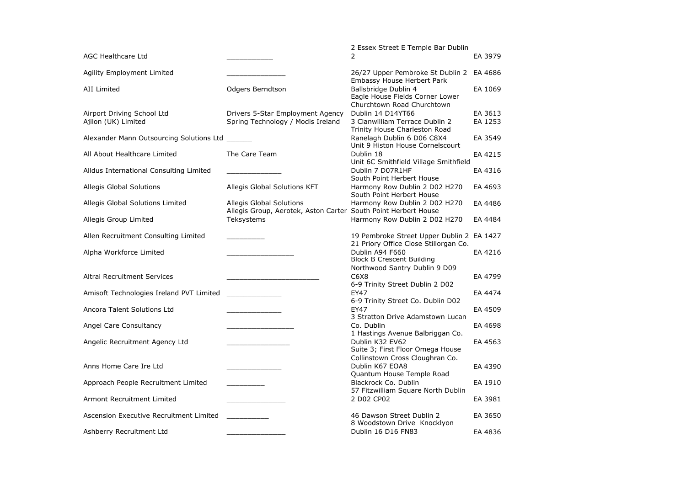|                                                   |                                                                                            | 2 Essex Street E Temple Bar Dublin                                                     |                    |
|---------------------------------------------------|--------------------------------------------------------------------------------------------|----------------------------------------------------------------------------------------|--------------------|
| <b>AGC Healthcare Ltd</b>                         |                                                                                            | 2                                                                                      | EA 3979            |
| <b>Agility Employment Limited</b>                 |                                                                                            | 26/27 Upper Pembroke St Dublin 2 EA 4686<br>Embassy House Herbert Park                 |                    |
| <b>AII Limited</b>                                | Odgers Berndtson                                                                           | Ballsbridge Dublin 4<br>Eagle House Fields Corner Lower<br>Churchtown Road Churchtown  | EA 1069            |
| Airport Driving School Ltd<br>Ajilon (UK) Limited | Drivers 5-Star Employment Agency<br>Spring Technology / Modis Ireland                      | Dublin 14 D14YT66<br>3 Clanwilliam Terrace Dublin 2<br>Trinity House Charleston Road   | EA 3613<br>EA 1253 |
| Alexander Mann Outsourcing Solutions Ltd          |                                                                                            | Ranelagh Dublin 6 D06 C8X4<br>Unit 9 Histon House Cornelscourt                         | EA 3549            |
| All About Healthcare Limited                      | The Care Team                                                                              | Dublin 18<br>Unit 6C Smithfield Village Smithfield                                     | EA 4215            |
| Alldus International Consulting Limited           |                                                                                            | Dublin 7 D07R1HF<br>South Point Herbert House                                          | EA 4316            |
| Allegis Global Solutions                          | Allegis Global Solutions KFT                                                               | Harmony Row Dublin 2 D02 H270<br>South Point Herbert House                             | EA 4693            |
| Allegis Global Solutions Limited                  | Allegis Global Solutions<br>Allegis Group, Aerotek, Aston Carter South Point Herbert House | Harmony Row Dublin 2 D02 H270                                                          | EA 4486            |
| Allegis Group Limited                             | Teksystems                                                                                 | Harmony Row Dublin 2 D02 H270                                                          | EA 4484            |
| Allen Recruitment Consulting Limited              |                                                                                            | 19 Pembroke Street Upper Dublin 2 EA 1427<br>21 Priory Office Close Stillorgan Co.     |                    |
| Alpha Workforce Limited                           |                                                                                            | Dublin A94 F660<br><b>Block B Crescent Building</b><br>Northwood Santry Dublin 9 D09   | EA 4216            |
| Altrai Recruitment Services                       |                                                                                            | C6X8<br>6-9 Trinity Street Dublin 2 D02                                                | EA 4799            |
| Amisoft Technologies Ireland PVT Limited          |                                                                                            | <b>EY47</b><br>6-9 Trinity Street Co. Dublin D02                                       | EA 4474            |
| Ancora Talent Solutions Ltd                       |                                                                                            | <b>EY47</b><br>3 Stratton Drive Adamstown Lucan                                        | EA 4509            |
| Angel Care Consultancy                            |                                                                                            | Co. Dublin<br>1 Hastings Avenue Balbriggan Co.                                         | EA 4698            |
| Angelic Recruitment Agency Ltd                    |                                                                                            | Dublin K32 EV62<br>Suite 3; First Floor Omega House<br>Collinstown Cross Cloughran Co. | EA 4563            |
| Anns Home Care Ire Ltd                            |                                                                                            | Dublin K67 EOA8<br>Quantum House Temple Road                                           | EA 4390            |
| Approach People Recruitment Limited               |                                                                                            | Blackrock Co. Dublin<br>57 Fitzwilliam Square North Dublin                             | EA 1910            |
| Armont Recruitment Limited                        |                                                                                            | 2 D02 CP02                                                                             | EA 3981            |
| Ascension Executive Recruitment Limited           |                                                                                            | 46 Dawson Street Dublin 2<br>8 Woodstown Drive Knocklyon                               | EA 3650            |
| Ashberry Recruitment Ltd                          |                                                                                            | Dublin 16 D16 FN83                                                                     | EA 4836            |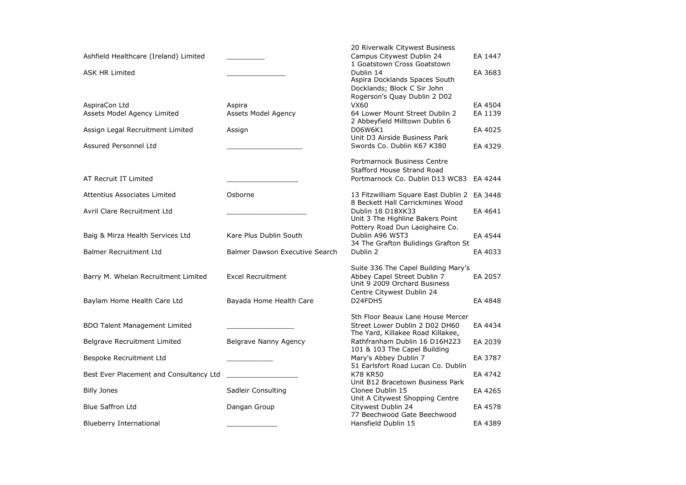| Ashfield Healthcare (Ireland) Limited   |                                | 20 Riverwalk Citywest Business<br>Campus Citywest Dublin 24         | EA 1447 |
|-----------------------------------------|--------------------------------|---------------------------------------------------------------------|---------|
|                                         |                                | 1 Goatstown Cross Goatstown                                         |         |
| <b>ASK HR Limited</b>                   |                                | Dublin 14<br>Aspira Docklands Spaces South                          | EA 3683 |
|                                         |                                | Docklands; Block C Sir John                                         |         |
|                                         |                                | Rogerson's Quay Dublin 2 D02                                        |         |
| AspiraCon Ltd                           | Aspira                         | VX60                                                                | EA 4504 |
| Assets Model Agency Limited             | Assets Model Agency            | 64 Lower Mount Street Dublin 2                                      | EA 1139 |
|                                         |                                | 2 Abbeyfield Milltown Dublin 6                                      |         |
| Assign Legal Recruitment Limited        | Assign                         | D06W6K1<br>Unit D3 Airside Business Park                            | EA 4025 |
| Assured Personnel Ltd                   |                                | Swords Co. Dublin K67 K380                                          | EA 4329 |
|                                         |                                |                                                                     |         |
|                                         |                                | Portmarnock Business Centre                                         |         |
|                                         |                                | <b>Stafford House Strand Road</b>                                   |         |
| AT Recruit IT Limited                   |                                | Portmarnock Co. Dublin D13 WC83                                     | EA 4244 |
| Attentius Associates Limited            | Osborne                        | 13 Fitzwilliam Square East Dublin 2                                 | EA 3448 |
|                                         |                                | 8 Beckett Hall Carrickmines Wood                                    |         |
| Avril Clare Recruitment Ltd             |                                | Dublin 18 D18XK33                                                   | EA 4641 |
|                                         |                                | Unit 3 The Highline Bakers Point                                    |         |
| Baig & Mirza Health Services Ltd        | Kare Plus Dublin South         | Pottery Road Dun Laoighaire Co.<br>Dublin A96 W5T3                  | EA 4544 |
|                                         |                                | 34 The Grafton Bulidings Grafton St                                 |         |
| <b>Balmer Recruitment Ltd</b>           | Balmer Dawson Executive Search | Dublin 2                                                            | EA 4033 |
|                                         |                                |                                                                     |         |
|                                         |                                | Suite 336 The Capel Building Mary's                                 |         |
| Barry M. Whelan Recruitment Limited     | <b>Excel Recruitment</b>       | Abbey Capel Street Dublin 7<br>Unit 9 2009 Orchard Business         | EA 2057 |
|                                         |                                | Centre Citywest Dublin 24                                           |         |
| Baylam Home Health Care Ltd             | Bayada Home Health Care        | D24FDH5                                                             | EA 4848 |
|                                         |                                |                                                                     |         |
|                                         |                                | 5th Floor Beaux Lane House Mercer                                   |         |
| <b>BDO Talent Management Limited</b>    |                                | Street Lower Dublin 2 D02 DH60<br>The Yard, Killakee Road Killakee, | EA 4434 |
| Belgrave Recruitment Limited            | Belgrave Nanny Agency          | Rathfranham Dublin 16 D16H223                                       | EA 2039 |
|                                         |                                | 101 & 103 The Capel Building                                        |         |
| Bespoke Recruitment Ltd                 |                                | Mary's Abbey Dublin 7                                               | EA 3787 |
|                                         |                                | 51 Earlsfort Road Lucan Co. Dublin                                  |         |
| Best Ever Placement and Consultancy Ltd |                                | <b>K78 KR50</b><br>Unit B12 Bracetown Business Park                 | EA 4742 |
| <b>Billy Jones</b>                      | Sadleir Consulting             | Clonee Dublin 15                                                    | EA 4265 |
|                                         |                                | Unit A Citywest Shopping Centre                                     |         |
| <b>Blue Saffron Ltd</b>                 | Dangan Group                   | Citywest Dublin 24                                                  | EA 4578 |
|                                         |                                | 77 Beechwood Gate Beechwood                                         |         |
| <b>Blueberry International</b>          |                                | Hansfield Dublin 15                                                 | EA 4389 |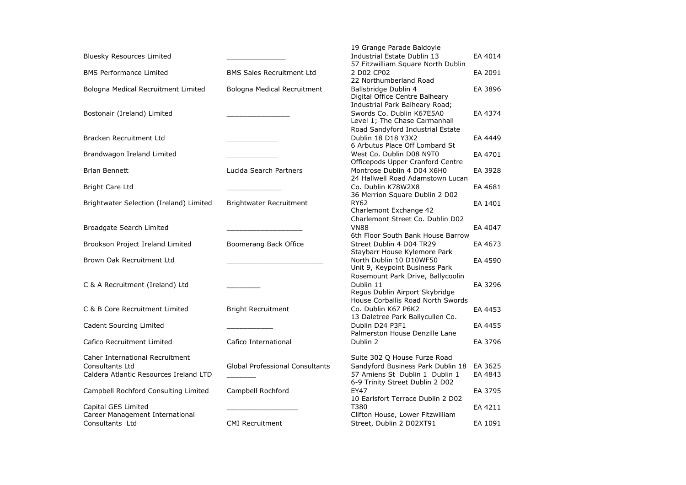| <b>Bluesky Resources Limited</b>                                                             |                                        | 19 Grange Parade Baldoyle<br>Industrial Estate Dublin 13<br>57 Fitzwilliam Square North Dublin                                         | EA 4014            |
|----------------------------------------------------------------------------------------------|----------------------------------------|----------------------------------------------------------------------------------------------------------------------------------------|--------------------|
| <b>BMS Performance Limited</b>                                                               | <b>BMS Sales Recruitment Ltd</b>       | 2 D02 CP02<br>22 Northumberland Road                                                                                                   | EA 2091            |
| Bologna Medical Recruitment Limited                                                          | Bologna Medical Recruitment            | Ballsbridge Dublin 4<br>Digital Office Centre Balheary                                                                                 | EA 3896            |
| Bostonair (Ireland) Limited                                                                  |                                        | Industrial Park Balheary Road;<br>Swords Co. Dublin K67E5A0<br>Level 1; The Chase Carmanhall                                           | EA 4374            |
| Bracken Recruitment Ltd                                                                      |                                        | Road Sandyford Industrial Estate<br>Dublin 18 D18 Y3X2<br>6 Arbutus Place Off Lombard St                                               | EA 4449            |
| Brandwagon Ireland Limited                                                                   |                                        | West Co. Dublin D08 N9T0<br>Officepods Upper Cranford Centre                                                                           | EA 4701            |
| <b>Brian Bennett</b>                                                                         | Lucida Search Partners                 | Montrose Dublin 4 D04 X6H0<br>24 Hallwell Road Adamstown Lucan                                                                         | EA 3928            |
| <b>Bright Care Ltd</b>                                                                       |                                        | Co. Dublin K78W2X8<br>36 Merrion Square Dublin 2 D02                                                                                   | EA 4681            |
| Brightwater Selection (Ireland) Limited                                                      | Brightwater Recruitment                | RY62<br>Charlemont Exchange 42                                                                                                         | EA 1401            |
| Broadgate Search Limited                                                                     |                                        | Charlemont Street Co. Dublin D02<br><b>VN88</b><br>6th Floor South Bank House Barrow                                                   | EA 4047            |
| Brookson Project Ireland Limited                                                             | Boomerang Back Office                  | Street Dublin 4 D04 TR29<br>Staybarr House Kylemore Park                                                                               | EA 4673            |
| Brown Oak Recruitment Ltd                                                                    |                                        | North Dublin 10 D10WF50<br>Unit 9, Keypoint Business Park                                                                              | EA 4590            |
| C & A Recruitment (Ireland) Ltd                                                              |                                        | Rosemount Park Drive, Ballycoolin<br>Dublin 11<br>Regus Dublin Airport Skybridge<br>House Corballis Road North Swords                  | EA 3296            |
| C & B Core Recruitment Limited                                                               | <b>Bright Recruitment</b>              | Co. Dublin K67 P6K2<br>13 Daletree Park Ballycullen Co.                                                                                | EA 4453            |
| Cadent Sourcing Limited                                                                      |                                        | Dublin D24 P3F1<br>Palmerston House Denzille Lane                                                                                      | EA 4455            |
| Cafico Recruitment Limited                                                                   | Cafico International                   | Dublin 2                                                                                                                               | EA 3796            |
| Caher International Recruitment<br>Consultants Ltd<br>Caldera Atlantic Resources Ireland LTD | <b>Global Professional Consultants</b> | Suite 302 Q House Furze Road<br>Sandyford Business Park Dublin 18<br>57 Amiens St Dublin 1 Dublin 1<br>6-9 Trinity Street Dublin 2 D02 | EA 3625<br>EA 4843 |
| Campbell Rochford Consulting Limited                                                         | Campbell Rochford                      | <b>EY47</b><br>10 Earlsfort Terrace Dublin 2 D02                                                                                       | EA 3795            |
| Capital GES Limited<br>Career Management International                                       |                                        | T380<br>Clifton House, Lower Fitzwilliam                                                                                               | EA 4211            |
| Consultants Ltd                                                                              | <b>CMI Recruitment</b>                 | Street, Dublin 2 D02XT91                                                                                                               | EA 1091            |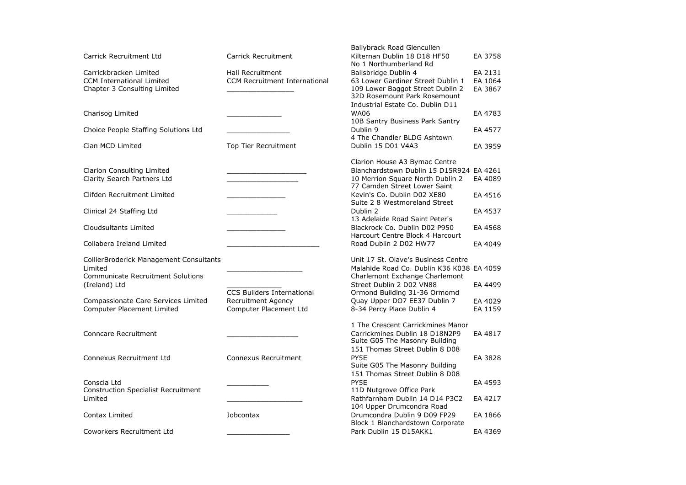| Carrick Recruitment Ltd                                                                                         | <b>Carrick Recruitment</b>                                     | Ballybrack Road Glencullen<br>Kilternan Dublin 18 D18 HF50                                                                                              | EA 3758                       |
|-----------------------------------------------------------------------------------------------------------------|----------------------------------------------------------------|---------------------------------------------------------------------------------------------------------------------------------------------------------|-------------------------------|
| Carrickbracken Limited<br><b>CCM International Limited</b><br>Chapter 3 Consulting Limited                      | <b>Hall Recruitment</b><br>CCM Recruitment International       | No 1 Northumberland Rd<br>Ballsbridge Dublin 4<br>63 Lower Gardiner Street Dublin 1<br>109 Lower Baggot Street Dublin 2<br>32D Rosemount Park Rosemount | EA 2131<br>EA 1064<br>EA 3867 |
| Charisog Limited                                                                                                |                                                                | Industrial Estate Co. Dublin D11<br><b>WA06</b><br>10B Santry Business Park Santry                                                                      | EA 4783                       |
| Choice People Staffing Solutions Ltd                                                                            |                                                                | Dublin 9<br>4 The Chandler BLDG Ashtown                                                                                                                 | EA 4577                       |
| Cian MCD Limited                                                                                                | Top Tier Recruitment                                           | Dublin 15 D01 V4A3                                                                                                                                      | EA 3959                       |
| Clarion Consulting Limited<br>Clarity Search Partners Ltd                                                       |                                                                | Clarion House A3 Bymac Centre<br>Blanchardstown Dublin 15 D15R924 EA 4261<br>10 Merrion Square North Dublin 2                                           | EA 4089                       |
| Clifden Recruitment Limited                                                                                     |                                                                | 77 Camden Street Lower Saint<br>Kevin's Co. Dublin D02 XE80<br>Suite 2 8 Westmoreland Street                                                            | EA 4516                       |
| Clinical 24 Staffing Ltd                                                                                        |                                                                | Dublin 2<br>13 Adelaide Road Saint Peter's                                                                                                              | EA 4537                       |
| Cloudsultants Limited                                                                                           |                                                                | Blackrock Co. Dublin D02 P950<br>Harcourt Centre Block 4 Harcourt                                                                                       | EA 4568                       |
| Collabera Ireland Limited                                                                                       |                                                                | Road Dublin 2 D02 HW77                                                                                                                                  | EA 4049                       |
| CollierBroderick Management Consultants<br>Limited<br><b>Communicate Recruitment Solutions</b><br>(Ireland) Ltd |                                                                | Unit 17 St. Olave's Business Centre<br>Malahide Road Co. Dublin K36 K038 EA 4059<br>Charlemont Exchange Charlemont<br>Street Dublin 2 D02 VN88          | EA 4499                       |
| Compassionate Care Services Limited                                                                             | <b>CCS Builders International</b><br><b>Recruitment Agency</b> | Ormond Building 31-36 Ormomd<br>Quay Upper DO7 EE37 Dublin 7                                                                                            | EA 4029                       |
| Computer Placement Limited                                                                                      | Computer Placement Ltd                                         | 8-34 Percy Place Dublin 4                                                                                                                               | EA 1159                       |
| Conncare Recruitment                                                                                            |                                                                | 1 The Crescent Carrickmines Manor<br>Carrickmines Dublin 18 D18N2P9<br>Suite G05 The Masonry Building                                                   | EA 4817                       |
| <b>Connexus Recruitment Ltd</b>                                                                                 | Connexus Recruitment                                           | 151 Thomas Street Dublin 8 D08<br>PY5E<br>Suite G05 The Masonry Building<br>151 Thomas Street Dublin 8 D08                                              | EA 3828                       |
| Conscia Ltd<br><b>Construction Specialist Recruitment</b><br>Limited                                            |                                                                | PY5E<br>11D Nutgrove Office Park<br>Rathfarnham Dublin 14 D14 P3C2                                                                                      | EA 4593<br>EA 4217            |
| Contax Limited                                                                                                  | Jobcontax                                                      | 104 Upper Drumcondra Road<br>Drumcondra Dublin 9 D09 FP29<br>Block 1 Blanchardstown Corporate                                                           | EA 1866                       |
| Coworkers Recruitment Ltd                                                                                       |                                                                | Park Dublin 15 D15AKK1                                                                                                                                  | EA 4369                       |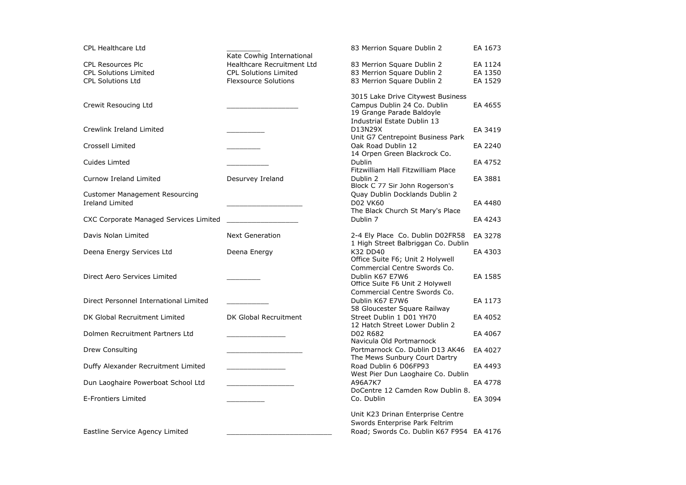| <b>CPL Healthcare Ltd</b>                     | 83 Merrion Square Dublin 2                                   | EA 1673 |
|-----------------------------------------------|--------------------------------------------------------------|---------|
|                                               | Kate Cowhig International                                    |         |
| <b>CPL Resources Plc</b>                      | Healthcare Recruitment Ltd<br>83 Merrion Square Dublin 2     | EA 1124 |
| <b>CPL Solutions Limited</b>                  | 83 Merrion Square Dublin 2<br><b>CPL Solutions Limited</b>   | EA 1350 |
| <b>CPL Solutions Ltd</b>                      | 83 Merrion Square Dublin 2<br><b>Flexsource Solutions</b>    | EA 1529 |
|                                               | 3015 Lake Drive Citywest Business                            |         |
| Crewit Resoucing Ltd                          | Campus Dublin 24 Co. Dublin                                  | EA 4655 |
|                                               | 19 Grange Parade Baldoyle                                    |         |
|                                               | Industrial Estate Dublin 13                                  |         |
| Crewlink Ireland Limited                      | D13N29X                                                      | EA 3419 |
|                                               | Unit G7 Centrepoint Business Park                            |         |
| Crossell Limited                              | Oak Road Dublin 12                                           | EA 2240 |
|                                               | 14 Orpen Green Blackrock Co.                                 |         |
| Cuides Limted                                 | Dublin<br>Fitzwilliam Hall Fitzwilliam Place                 | EA 4752 |
| Curnow Ireland Limited                        | Dublin 2<br>Desurvey Ireland                                 | EA 3881 |
|                                               | Block C 77 Sir John Rogerson's                               |         |
| <b>Customer Management Resourcing</b>         | Quay Dublin Docklands Dublin 2                               |         |
| <b>Ireland Limited</b>                        | <b>D02 VK60</b>                                              | EA 4480 |
|                                               | The Black Church St Mary's Place                             |         |
| <b>CXC Corporate Managed Services Limited</b> | Dublin 7                                                     | EA 4243 |
|                                               |                                                              |         |
| Davis Nolan Limited                           | 2-4 Ely Place Co. Dublin D02FR58<br><b>Next Generation</b>   | EA 3278 |
|                                               | 1 High Street Balbriggan Co. Dublin                          |         |
| Deena Energy Services Ltd                     | K32 DD40<br>Deena Energy<br>Office Suite F6; Unit 2 Holywell | EA 4303 |
|                                               | Commercial Centre Swords Co.                                 |         |
| Direct Aero Services Limited                  | Dublin K67 E7W6                                              | EA 1585 |
|                                               | Office Suite F6 Unit 2 Holywell                              |         |
|                                               | Commercial Centre Swords Co.                                 |         |
| Direct Personnel International Limited        | Dublin K67 E7W6                                              | EA 1173 |
|                                               | 58 Gloucester Square Railway                                 |         |
| DK Global Recruitment Limited                 | DK Global Recruitment<br>Street Dublin 1 D01 YH70            | EA 4052 |
|                                               | 12 Hatch Street Lower Dublin 2                               |         |
| Dolmen Recruitment Partners Ltd               | D02 R682                                                     | EA 4067 |
|                                               | Navicula Old Portmarnock                                     |         |
| Drew Consulting                               | Portmarnock Co. Dublin D13 AK46                              | EA 4027 |
|                                               | The Mews Sunbury Court Dartry                                |         |
| Duffy Alexander Recruitment Limited           | Road Dublin 6 D06FP93                                        | EA 4493 |
|                                               | West Pier Dun Laoghaire Co. Dublin<br>A96A7K7                | EA 4778 |
| Dun Laoghaire Powerboat School Ltd            | DoCentre 12 Camden Row Dublin 8.                             |         |
| <b>E-Frontiers Limited</b>                    | Co. Dublin                                                   | EA 3094 |
|                                               |                                                              |         |
|                                               | Unit K23 Drinan Enterprise Centre                            |         |
|                                               | Swords Enterprise Park Feltrim                               |         |
| Eastline Service Agency Limited               | Road; Swords Co. Dublin K67 F954 EA 4176                     |         |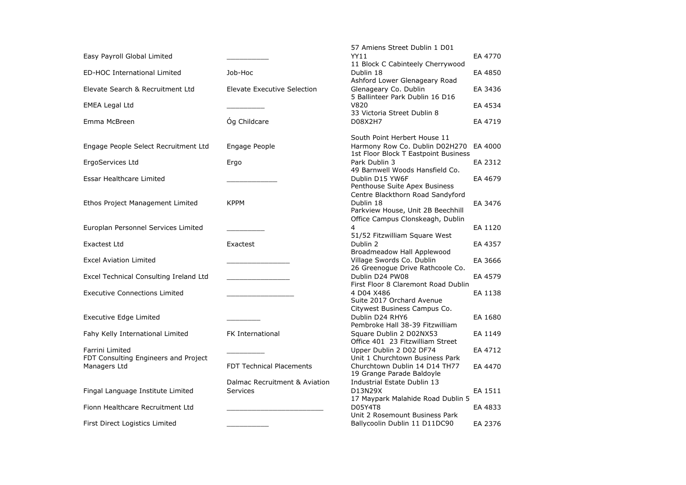|                                        |                                 | 57 Amiens Street Dublin 1 D01                                  |         |
|----------------------------------------|---------------------------------|----------------------------------------------------------------|---------|
| Easy Payroll Global Limited            |                                 | YY11                                                           | EA 4770 |
|                                        |                                 | 11 Block C Cabinteely Cherrywood                               |         |
| ED-HOC International Limited           | Job-Hoc                         | Dublin 18<br>Ashford Lower Glenageary Road                     | EA 4850 |
| Elevate Search & Recruitment Ltd       | Elevate Executive Selection     | Glenageary Co. Dublin                                          | EA 3436 |
|                                        |                                 | 5 Ballinteer Park Dublin 16 D16                                |         |
| <b>EMEA Legal Ltd</b>                  |                                 | V820                                                           | EA 4534 |
|                                        |                                 | 33 Victoria Street Dublin 8                                    |         |
| Emma McBreen                           | Óg Childcare                    | D08X2H7                                                        | EA 4719 |
|                                        |                                 |                                                                |         |
| Engage People Select Recruitment Ltd   | Engage People                   | South Point Herbert House 11<br>Harmony Row Co. Dublin D02H270 | EA 4000 |
|                                        |                                 | 1st Floor Block T Eastpoint Business                           |         |
| ErgoServices Ltd                       | Ergo                            | Park Dublin 3                                                  | EA 2312 |
|                                        |                                 | 49 Barnwell Woods Hansfield Co.                                |         |
| Essar Healthcare Limited               |                                 | Dublin D15 YW6F                                                | EA 4679 |
|                                        |                                 | Penthouse Suite Apex Business                                  |         |
|                                        |                                 | Centre Blackthorn Road Sandyford                               |         |
| Ethos Project Management Limited       | <b>KPPM</b>                     | Dublin 18<br>Parkview House, Unit 2B Beechhill                 | EA 3476 |
|                                        |                                 | Office Campus Clonskeagh, Dublin                               |         |
| Europlan Personnel Services Limited    |                                 | 4                                                              | EA 1120 |
|                                        |                                 | 51/52 Fitzwilliam Square West                                  |         |
| Exactest Ltd                           | Exactest                        | Dublin 2                                                       | EA 4357 |
|                                        |                                 | Broadmeadow Hall Applewood                                     |         |
| <b>Excel Aviation Limited</b>          |                                 | Village Swords Co. Dublin                                      | EA 3666 |
|                                        |                                 | 26 Greenogue Drive Rathcoole Co.<br>Dublin D24 PW08            |         |
| Excel Technical Consulting Ireland Ltd |                                 | First Floor 8 Claremont Road Dublin                            | EA 4579 |
| <b>Executive Connections Limited</b>   |                                 | 4 D04 X486                                                     | EA 1138 |
|                                        |                                 | Suite 2017 Orchard Avenue                                      |         |
|                                        |                                 | Citywest Business Campus Co.                                   |         |
| Executive Edge Limited                 |                                 | Dublin D24 RHY6                                                | EA 1680 |
|                                        |                                 | Pembroke Hall 38-39 Fitzwilliam                                |         |
| Fahy Kelly International Limited       | <b>FK International</b>         | Square Dublin 2 D02NX53<br>Office 401 23 Fitzwilliam Street    | EA 1149 |
| Farrini Limited                        |                                 | Upper Dublin 2 D02 DF74                                        | EA 4712 |
| FDT Consulting Engineers and Project   |                                 | Unit 1 Churchtown Business Park                                |         |
| Managers Ltd                           | <b>FDT Technical Placements</b> | Churchtown Dublin 14 D14 TH77                                  | EA 4470 |
|                                        |                                 | 19 Grange Parade Baldoyle                                      |         |
|                                        | Dalmac Recruitment & Aviation   | Industrial Estate Dublin 13                                    |         |
| Fingal Language Institute Limited      | <b>Services</b>                 | D13N29X                                                        | EA 1511 |
| Fionn Healthcare Recruitment Ltd       |                                 | 17 Maypark Malahide Road Dublin 5<br>D05Y4T8                   | EA 4833 |
|                                        |                                 | Unit 2 Rosemount Business Park                                 |         |
| First Direct Logistics Limited         |                                 | Ballycoolin Dublin 11 D11DC90                                  | EA 2376 |
|                                        |                                 |                                                                |         |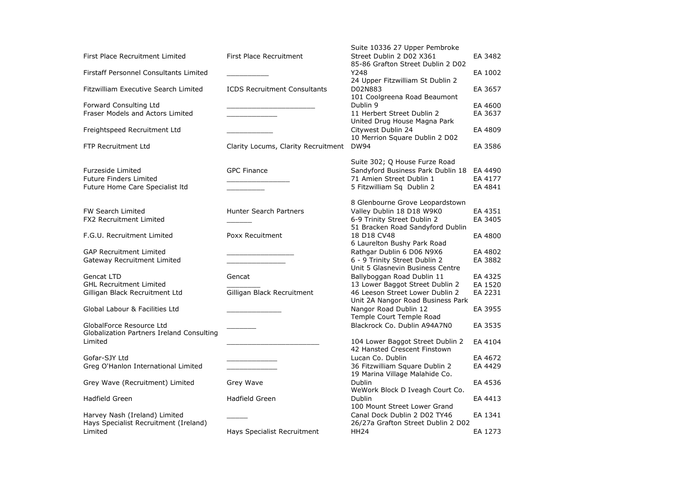|                                                  |                                     | Suite 10336 27 Upper Pembroke                                        |         |
|--------------------------------------------------|-------------------------------------|----------------------------------------------------------------------|---------|
| First Place Recruitment Limited                  | First Place Recruitment             | Street Dublin 2 D02 X361                                             | EA 3482 |
| Firstaff Personnel Consultants Limited           |                                     | 85-86 Grafton Street Dublin 2 D02<br>Y248                            | EA 1002 |
|                                                  |                                     | 24 Upper Fitzwilliam St Dublin 2                                     |         |
| Fitzwilliam Executive Search Limited             | <b>ICDS Recruitment Consultants</b> | D02N883                                                              | EA 3657 |
|                                                  |                                     | 101 Coolgreena Road Beaumont                                         |         |
| Forward Consulting Ltd                           |                                     | Dublin 9                                                             | EA 4600 |
| Fraser Models and Actors Limited                 |                                     | 11 Herbert Street Dublin 2                                           | EA 3637 |
|                                                  |                                     | United Drug House Magna Park                                         |         |
| Freightspeed Recruitment Ltd                     |                                     | Citywest Dublin 24                                                   | EA 4809 |
|                                                  |                                     | 10 Merrion Square Dublin 2 D02                                       |         |
| <b>FTP Recruitment Ltd</b>                       | Clarity Locums, Clarity Recruitment | <b>DW94</b>                                                          | EA 3586 |
|                                                  |                                     | Suite 302; Q House Furze Road                                        |         |
| Furzeside Limited                                | <b>GPC Finance</b>                  | Sandyford Business Park Dublin 18                                    | EA 4490 |
| <b>Future Finders Limited</b>                    |                                     | 71 Amien Street Dublin 1                                             | EA 4177 |
| Future Home Care Specialist Itd                  |                                     | 5 Fitzwilliam Sq Dublin 2                                            | EA 4841 |
|                                                  |                                     |                                                                      |         |
|                                                  |                                     | 8 Glenbourne Grove Leopardstown                                      |         |
| <b>FW Search Limited</b>                         | <b>Hunter Search Partners</b>       | Valley Dublin 18 D18 W9K0                                            | EA 4351 |
| FX2 Recruitment Limited                          |                                     | 6-9 Trinity Street Dublin 2                                          | EA 3405 |
|                                                  |                                     | 51 Bracken Road Sandyford Dublin                                     |         |
| F.G.U. Recruitment Limited                       | Poxx Recuitment                     | 18 D18 CV48                                                          | EA 4800 |
|                                                  |                                     | 6 Laurelton Bushy Park Road                                          |         |
| <b>GAP Recruitment Limited</b>                   |                                     | Rathgar Dublin 6 D06 N9X6                                            | EA 4802 |
| Gateway Recruitment Limited                      |                                     | 6 - 9 Trinity Street Dublin 2                                        | EA 3882 |
|                                                  |                                     | Unit 5 Glasnevin Business Centre                                     |         |
| Gencat LTD                                       | Gencat                              | Ballyboggan Road Dublin 11                                           | EA 4325 |
| <b>GHL Recruitment Limited</b>                   |                                     | 13 Lower Baggot Street Dublin 2                                      | EA 1520 |
| Gilligan Black Recruitment Ltd                   | Gilligan Black Recruitment          | 46 Leeson Street Lower Dublin 2<br>Unit 2A Nangor Road Business Park | EA 2231 |
| Global Labour & Facilities Ltd                   |                                     | Nangor Road Dublin 12                                                | EA 3955 |
|                                                  |                                     | Temple Court Temple Road                                             |         |
| GlobalForce Resource Ltd                         |                                     | Blackrock Co. Dublin A94A7N0                                         | EA 3535 |
| Globalization Partners Ireland Consulting        |                                     |                                                                      |         |
| Limited                                          |                                     | 104 Lower Baggot Street Dublin 2                                     | EA 4104 |
|                                                  |                                     | 42 Hansted Crescent Finstown                                         |         |
| Gofar-SJY Ltd                                    |                                     | Lucan Co. Dublin                                                     | EA 4672 |
| Greg O'Hanlon International Limited              |                                     | 36 Fitzwilliam Square Dublin 2                                       | EA 4429 |
|                                                  |                                     | 19 Marina Village Malahide Co.                                       |         |
| Grey Wave (Recruitment) Limited                  | Grey Wave                           | Dublin                                                               | EA 4536 |
|                                                  |                                     | WeWork Block D Iveagh Court Co.                                      |         |
| Hadfield Green                                   | Hadfield Green                      | <b>Dublin</b>                                                        | EA 4413 |
|                                                  |                                     | 100 Mount Street Lower Grand                                         |         |
| Harvey Nash (Ireland) Limited                    |                                     | Canal Dock Dublin 2 D02 TY46                                         | EA 1341 |
| Hays Specialist Recruitment (Ireland)<br>Limited |                                     | 26/27a Grafton Street Dublin 2 D02                                   |         |
|                                                  | Hays Specialist Recruitment         | <b>HH24</b>                                                          | EA 1273 |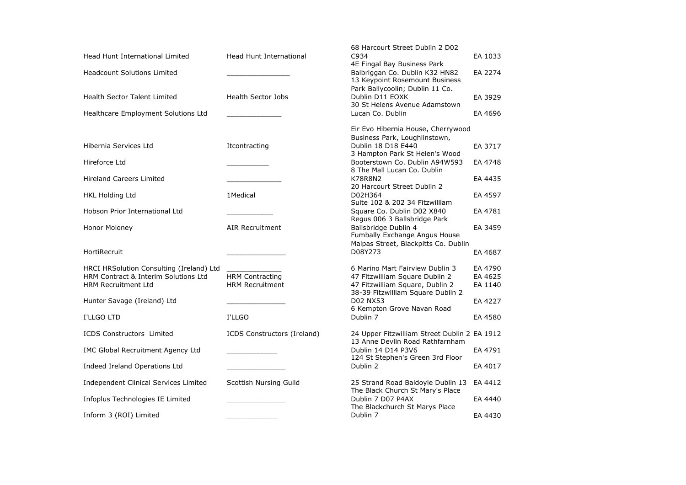|                                          |                             | 68 Harcourt Street Dublin 2 D02              |         |
|------------------------------------------|-----------------------------|----------------------------------------------|---------|
| <b>Head Hunt International Limited</b>   | Head Hunt International     | C934                                         | EA 1033 |
|                                          |                             | 4E Fingal Bay Business Park                  |         |
| <b>Headcount Solutions Limited</b>       |                             | Balbriggan Co. Dublin K32 HN82               | EA 2274 |
|                                          |                             | 13 Keypoint Rosemount Business               |         |
|                                          |                             | Park Ballycoolin; Dublin 11 Co.              |         |
| <b>Health Sector Talent Limited</b>      | <b>Health Sector Jobs</b>   | Dublin D11 EOXK                              | EA 3929 |
|                                          |                             | 30 St Helens Avenue Adamstown                |         |
| Healthcare Employment Solutions Ltd      |                             | Lucan Co. Dublin                             | EA 4696 |
|                                          |                             | Eir Evo Hibernia House, Cherrywood           |         |
|                                          |                             | Business Park, Loughlinstown,                |         |
| Hibernia Services Ltd                    | Itcontracting               | Dublin 18 D18 E440                           | EA 3717 |
|                                          |                             | 3 Hampton Park St Helen's Wood               |         |
| Hireforce Ltd                            |                             | Booterstown Co. Dublin A94W593               | EA 4748 |
|                                          |                             | 8 The Mall Lucan Co. Dublin                  |         |
| <b>Hireland Careers Limited</b>          |                             | <b>K78R8N2</b>                               | EA 4435 |
|                                          |                             | 20 Harcourt Street Dublin 2                  |         |
| <b>HKL Holding Ltd</b>                   | 1Medical                    | D02H364                                      | EA 4597 |
|                                          |                             | Suite 102 & 202 34 Fitzwilliam               |         |
| Hobson Prior International Ltd           |                             | Square Co. Dublin D02 X840                   | EA 4781 |
|                                          |                             | Regus 006 3 Ballsbridge Park                 |         |
| Honor Moloney                            | <b>AIR Recruitment</b>      | Ballsbridge Dublin 4                         | EA 3459 |
|                                          |                             | Fumbally Exchange Angus House                |         |
|                                          |                             | Malpas Street, Blackpitts Co. Dublin         |         |
| HortiRecruit                             |                             | D08Y273                                      | EA 4687 |
| HRCI HRSolution Consulting (Ireland) Ltd |                             | 6 Marino Mart Fairview Dublin 3              | EA 4790 |
| HRM Contract & Interim Solutions Ltd     | <b>HRM Contracting</b>      | 47 Fitzwilliam Square Dublin 2               | EA 4625 |
| <b>HRM Recruitment Ltd</b>               | <b>HRM Recruitment</b>      | 47 Fitzwilliam Square, Dublin 2              | EA 1140 |
|                                          |                             | 38-39 Fitzwilliam Square Dublin 2            |         |
| Hunter Savage (Ireland) Ltd              |                             | <b>D02 NX53</b>                              | EA 4227 |
|                                          |                             | 6 Kempton Grove Navan Road                   |         |
| I'LLGO LTD                               | I'LLGO                      | Dublin 7                                     | EA 4580 |
|                                          |                             |                                              |         |
| <b>ICDS Constructors Limited</b>         | ICDS Constructors (Ireland) | 24 Upper Fitzwilliam Street Dublin 2 EA 1912 |         |
|                                          |                             | 13 Anne Devlin Road Rathfarnham              |         |
| IMC Global Recruitment Agency Ltd        |                             | Dublin 14 D14 P3V6                           | EA 4791 |
|                                          |                             | 124 St Stephen's Green 3rd Floor             |         |
| Indeed Ireland Operations Ltd            |                             | Dublin 2                                     | EA 4017 |
| Independent Clinical Services Limited    | Scottish Nursing Guild      | 25 Strand Road Baldoyle Dublin 13 EA 4412    |         |
|                                          |                             | The Black Church St Mary's Place             |         |
| Infoplus Technologies IE Limited         |                             | Dublin 7 D07 P4AX                            | EA 4440 |
|                                          |                             | The Blackchurch St Marys Place               |         |
| Inform 3 (ROI) Limited                   |                             | Dublin 7                                     | EA 4430 |
|                                          |                             |                                              |         |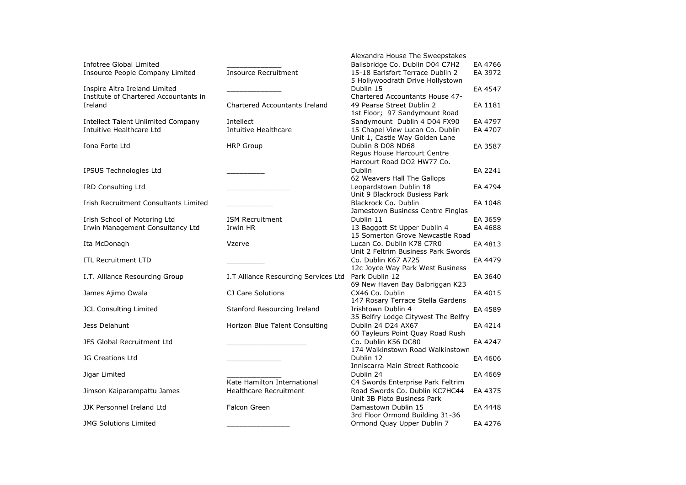|                                       |                                                     | Alexandra House The Sweepstakes                                  |         |
|---------------------------------------|-----------------------------------------------------|------------------------------------------------------------------|---------|
| Infotree Global Limited               |                                                     | Ballsbridge Co. Dublin D04 C7H2                                  | EA 4766 |
| Insource People Company Limited       | <b>Insource Recruitment</b>                         | 15-18 Earlsfort Terrace Dublin 2                                 | EA 3972 |
|                                       |                                                     | 5 Hollywoodrath Drive Hollystown                                 |         |
| Inspire Altra Ireland Limited         |                                                     | Dublin 15                                                        | EA 4547 |
| Institute of Chartered Accountants in |                                                     | Chartered Accountants House 47-                                  |         |
| Ireland                               | <b>Chartered Accountants Ireland</b>                | 49 Pearse Street Dublin 2                                        | EA 1181 |
|                                       |                                                     | 1st Floor; 97 Sandymount Road                                    |         |
| Intellect Talent Unlimited Company    | Intellect                                           | Sandymount Dublin 4 D04 FX90                                     | EA 4797 |
| Intuitive Healthcare Ltd              | Intuitive Healthcare                                | 15 Chapel View Lucan Co. Dublin                                  | EA 4707 |
|                                       |                                                     | Unit 1, Castle Way Golden Lane                                   |         |
| Iona Forte Ltd                        | <b>HRP Group</b>                                    | Dublin 8 D08 ND68                                                | EA 3587 |
|                                       |                                                     | Regus House Harcourt Centre                                      |         |
|                                       |                                                     | Harcourt Road DO2 HW77 Co.                                       |         |
| IPSUS Technologies Ltd                |                                                     | Dublin                                                           | EA 2241 |
|                                       |                                                     | 62 Weavers Hall The Gallops                                      |         |
| <b>IRD Consulting Ltd</b>             |                                                     | Leopardstown Dublin 18                                           | EA 4794 |
|                                       |                                                     | Unit 9 Blackrock Busiess Park                                    |         |
| Irish Recruitment Consultants Limited |                                                     | Blackrock Co. Dublin                                             | EA 1048 |
|                                       |                                                     | Jamestown Business Centre Finglas                                |         |
| Irish School of Motoring Ltd          | <b>ISM Recruitment</b>                              | Dublin 11                                                        | EA 3659 |
| Irwin Management Consultancy Ltd      | Irwin HR                                            | 13 Baggott St Upper Dublin 4                                     | EA 4688 |
|                                       |                                                     | 15 Somerton Grove Newcastle Road                                 |         |
| Ita McDonagh                          | Vzerve                                              | Lucan Co. Dublin K78 C7R0<br>Unit 2 Feltrim Business Park Swords | EA 4813 |
| <b>ITL Recruitment LTD</b>            |                                                     | Co. Dublin K67 A725                                              | EA 4479 |
|                                       |                                                     | 12c Joyce Way Park West Business                                 |         |
| I.T. Alliance Resourcing Group        | I.T Alliance Resourcing Services Ltd Park Dublin 12 |                                                                  | EA 3640 |
|                                       |                                                     | 69 New Haven Bay Balbriggan K23                                  |         |
| James Ajimo Owala                     | CJ Care Solutions                                   | CX46 Co. Dublin                                                  | EA 4015 |
|                                       |                                                     | 147 Rosary Terrace Stella Gardens                                |         |
| JCL Consulting Limited                | Stanford Resourcing Ireland                         | Irishtown Dublin 4                                               | EA 4589 |
|                                       |                                                     | 35 Belfry Lodge Citywest The Belfry                              |         |
| Jess Delahunt                         | Horizon Blue Talent Consulting                      | Dublin 24 D24 AX67                                               | EA 4214 |
|                                       |                                                     | 60 Tayleurs Point Quay Road Rush                                 |         |
| JFS Global Recruitment Ltd            |                                                     | Co. Dublin K56 DC80                                              | EA 4247 |
|                                       |                                                     | 174 Walkinstown Road Walkinstown                                 |         |
| <b>JG Creations Ltd</b>               |                                                     | Dublin 12                                                        | EA 4606 |
|                                       |                                                     | Inniscarra Main Street Rathcoole                                 |         |
| Jigar Limited                         |                                                     | Dublin 24                                                        | EA 4669 |
|                                       | Kate Hamilton International                         | C4 Swords Enterprise Park Feltrim                                |         |
| Jimson Kaiparampattu James            | <b>Healthcare Recruitment</b>                       | Road Swords Co. Dublin KC7HC44                                   | EA 4375 |
|                                       |                                                     | Unit 3B Plato Business Park                                      |         |
| JJK Personnel Ireland Ltd             | Falcon Green                                        | Damastown Dublin 15                                              | EA 4448 |
|                                       |                                                     | 3rd Floor Ormond Building 31-36                                  |         |
| <b>JMG Solutions Limited</b>          |                                                     | Ormond Quay Upper Dublin 7                                       | EA 4276 |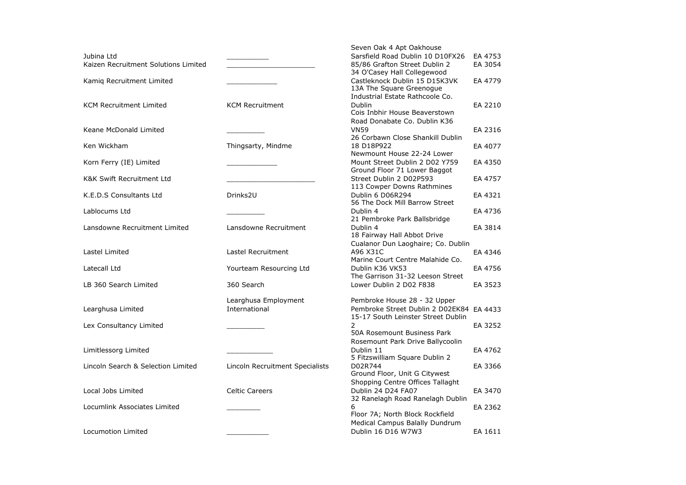|                                      |                                 | Seven Oak 4 Apt Oakhouse                                     |         |
|--------------------------------------|---------------------------------|--------------------------------------------------------------|---------|
| Jubina Ltd                           |                                 | Sarsfield Road Dublin 10 D10FX26                             | EA 4753 |
| Kaizen Recruitment Solutions Limited |                                 | 85/86 Grafton Street Dublin 2<br>34 O'Casey Hall Collegewood | EA 3054 |
| Kamiq Recruitment Limited            |                                 | Castleknock Dublin 15 D15K3VK<br>13A The Square Greenogue    | EA 4779 |
|                                      |                                 | Industrial Estate Rathcoole Co.                              |         |
| <b>KCM Recruitment Limited</b>       | <b>KCM Recruitment</b>          | Dublin                                                       | EA 2210 |
|                                      |                                 | Cois Inbhir House Beaverstown                                |         |
|                                      |                                 | Road Donabate Co. Dublin K36                                 |         |
| Keane McDonald Limited               |                                 | <b>VN59</b>                                                  | EA 2316 |
|                                      |                                 | 26 Corbawn Close Shankill Dublin                             |         |
| Ken Wickham                          | Thingsarty, Mindme              | 18 D18P922                                                   | EA 4077 |
|                                      |                                 | Newmount House 22-24 Lower                                   |         |
| Korn Ferry (IE) Limited              |                                 | Mount Street Dublin 2 D02 Y759                               | EA 4350 |
|                                      |                                 | Ground Floor 71 Lower Baggot                                 |         |
| <b>K&amp;K Swift Recruitment Ltd</b> |                                 | Street Dublin 2 D02P593                                      | EA 4757 |
|                                      |                                 | 113 Cowper Downs Rathmines                                   |         |
| K.E.D.S Consultants Ltd              | Drinks2U                        | Dublin 6 D06R294                                             | EA 4321 |
|                                      |                                 | 56 The Dock Mill Barrow Street                               |         |
| Lablocums Ltd                        |                                 | Dublin 4                                                     | EA 4736 |
|                                      |                                 | 21 Pembroke Park Ballsbridge                                 |         |
| Lansdowne Recruitment Limited        | Lansdowne Recruitment           | Dublin 4<br>18 Fairway Hall Abbot Drive                      | EA 3814 |
|                                      |                                 | Cualanor Dun Laoghaire; Co. Dublin                           |         |
| Lastel Limited                       | Lastel Recruitment              | A96 X31C                                                     | EA 4346 |
|                                      |                                 | Marine Court Centre Malahide Co.                             |         |
| Latecall Ltd                         | Yourteam Resourcing Ltd         | Dublin K36 VK53                                              | EA 4756 |
|                                      |                                 | The Garrison 31-32 Leeson Street                             |         |
| LB 360 Search Limited                | 360 Search                      | Lower Dublin 2 D02 F838                                      | EA 3523 |
|                                      | Learghusa Employment            | Pembroke House 28 - 32 Upper                                 |         |
| Learghusa Limited                    | International                   | Pembroke Street Dublin 2 D02EK84 EA 4433                     |         |
|                                      |                                 | 15-17 South Leinster Street Dublin                           |         |
| Lex Consultancy Limited              |                                 | 2                                                            | EA 3252 |
|                                      |                                 | 50A Rosemount Business Park                                  |         |
|                                      |                                 | Rosemount Park Drive Ballycoolin                             |         |
| Limitlessorg Limited                 |                                 | Dublin 11                                                    | EA 4762 |
|                                      |                                 | 5 Fitzswilliam Square Dublin 2                               |         |
| Lincoln Search & Selection Limited   | Lincoln Recruitment Specialists | D02R744                                                      | EA 3366 |
|                                      |                                 | Ground Floor, Unit G Citywest                                |         |
|                                      |                                 | Shopping Centre Offices Tallaght                             |         |
| Local Jobs Limited                   | <b>Celtic Careers</b>           | Dublin 24 D24 FA07                                           | EA 3470 |
|                                      |                                 | 32 Ranelagh Road Ranelagh Dublin                             |         |
| Locumlink Associates Limited         |                                 | 6                                                            | EA 2362 |
|                                      |                                 | Floor 7A; North Block Rockfield                              |         |
|                                      |                                 | Medical Campus Balally Dundrum                               |         |
| Locumotion Limited                   |                                 | Dublin 16 D16 W7W3                                           | EA 1611 |
|                                      |                                 |                                                              |         |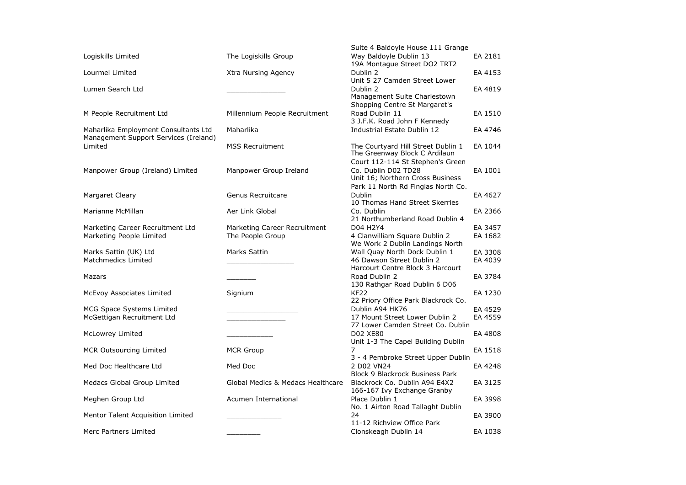|                                                                               |                                                  | Suite 4 Baldoyle House 111 Grange                                                                                                 |                    |
|-------------------------------------------------------------------------------|--------------------------------------------------|-----------------------------------------------------------------------------------------------------------------------------------|--------------------|
| Logiskills Limited                                                            | The Logiskills Group                             | Way Baldoyle Dublin 13<br>19A Montague Street DO2 TRT2                                                                            | EA 2181            |
| Lourmel Limited                                                               | Xtra Nursing Agency                              | Dublin 2<br>Unit 5 27 Camden Street Lower                                                                                         | EA 4153            |
| Lumen Search Ltd                                                              |                                                  | Dublin 2<br>Management Suite Charlestown<br>Shopping Centre St Margaret's                                                         | EA 4819            |
| M People Recruitment Ltd                                                      | Millennium People Recruitment                    | Road Dublin 11<br>3 J.F.K. Road John F Kennedy                                                                                    | EA 1510            |
| Maharlika Employment Consultants Ltd<br>Management Support Services (Ireland) | Maharlika                                        | Industrial Estate Dublin 12                                                                                                       | EA 4746            |
| Limited                                                                       | <b>MSS Recruitment</b>                           | The Courtyard Hill Street Dublin 1<br>The Greenway Block C Ardilaun                                                               | EA 1044            |
| Manpower Group (Ireland) Limited                                              | Manpower Group Ireland                           | Court 112-114 St Stephen's Green<br>Co. Dublin D02 TD28<br>Unit 16; Northern Cross Business<br>Park 11 North Rd Finglas North Co. | EA 1001            |
| <b>Margaret Cleary</b>                                                        | Genus Recruitcare                                | <b>Dublin</b><br>10 Thomas Hand Street Skerries                                                                                   | EA 4627            |
| Marianne McMillan                                                             | Aer Link Global                                  | Co. Dublin<br>21 Northumberland Road Dublin 4                                                                                     | EA 2366            |
| Marketing Career Recruitment Ltd<br>Marketing People Limited                  | Marketing Career Recruitment<br>The People Group | D04 H2Y4<br>4 Clanwilliam Square Dublin 2<br>We Work 2 Dublin Landings North                                                      | EA 3457<br>EA 1682 |
| Marks Sattin (UK) Ltd<br>Matchmedics Limited                                  | Marks Sattin                                     | Wall Quay North Dock Dublin 1<br>46 Dawson Street Dublin 2<br>Harcourt Centre Block 3 Harcourt                                    | EA 3308<br>EA 4039 |
| Mazars                                                                        |                                                  | Road Dublin 2<br>130 Rathgar Road Dublin 6 D06                                                                                    | EA 3784            |
| McEvoy Associates Limited                                                     | Signium                                          | KF <sub>22</sub><br>22 Priory Office Park Blackrock Co.                                                                           | EA 1230            |
| <b>MCG Space Systems Limited</b>                                              |                                                  | Dublin A94 HK76                                                                                                                   | EA 4529            |
| McGettigan Recruitment Ltd                                                    |                                                  | 17 Mount Street Lower Dublin 2<br>77 Lower Camden Street Co. Dublin                                                               | EA 4559            |
| McLowrey Limited                                                              |                                                  | <b>D02 XE80</b><br>Unit 1-3 The Capel Building Dublin                                                                             | EA 4808            |
| <b>MCR Outsourcing Limited</b>                                                | <b>MCR Group</b>                                 | $\overline{7}$<br>3 - 4 Pembroke Street Upper Dublin                                                                              | EA 1518            |
| Med Doc Healthcare Ltd                                                        | Med Doc                                          | 2 D02 VN24<br><b>Block 9 Blackrock Business Park</b>                                                                              | EA 4248            |
| Medacs Global Group Limited                                                   | Global Medics & Medacs Healthcare                | Blackrock Co. Dublin A94 E4X2<br>166-167 Ivy Exchange Granby                                                                      | EA 3125            |
| Meghen Group Ltd                                                              | Acumen International                             | Place Dublin 1<br>No. 1 Airton Road Tallaght Dublin                                                                               | EA 3998            |
| Mentor Talent Acquisition Limited                                             |                                                  | 24<br>11-12 Richview Office Park                                                                                                  | EA 3900            |
| Merc Partners Limited                                                         |                                                  | Clonskeagh Dublin 14                                                                                                              | EA 1038            |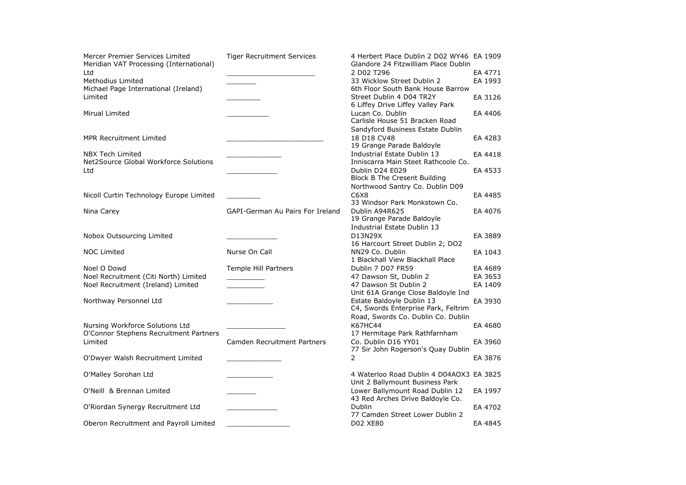| Mercer Premier Services Limited<br>Meridian VAT Processing (International) | <b>Tiger Recruitment Services</b> | 4 Herbert Place Dublin 2 D02 WY46 EA 1909<br>Glandore 24 Fitzwilliam Place Dublin |         |
|----------------------------------------------------------------------------|-----------------------------------|-----------------------------------------------------------------------------------|---------|
| Ltd                                                                        |                                   | 2 D02 T296                                                                        | EA 4771 |
| Methodius Limited                                                          |                                   | 33 Wicklow Street Dublin 2                                                        | EA 1993 |
| Michael Page International (Ireland)                                       |                                   | 6th Floor South Bank House Barrow                                                 |         |
| Limited                                                                    |                                   | Street Dublin 4 D04 TR2Y                                                          | EA 3126 |
|                                                                            |                                   | 6 Liffey Drive Liffey Valley Park                                                 |         |
|                                                                            |                                   |                                                                                   |         |
| Mirual Limited                                                             |                                   | Lucan Co. Dublin                                                                  | EA 4406 |
|                                                                            |                                   | Carlisle House 51 Bracken Road                                                    |         |
|                                                                            |                                   | Sandyford Business Estate Dublin                                                  |         |
| <b>MPR Recruitment Limited</b>                                             |                                   | 18 D18 CV48                                                                       | EA 4283 |
|                                                                            |                                   | 19 Grange Parade Baldoyle                                                         |         |
| <b>NBX Tech Limited</b>                                                    |                                   | Industrial Estate Dublin 13                                                       | EA 4418 |
| Net2Source Global Workforce Solutions                                      |                                   | Inniscarra Main Steet Rathcoole Co.                                               |         |
| Ltd                                                                        |                                   | Dublin D24 E029                                                                   | EA 4533 |
|                                                                            |                                   | Block B The Cresent Building                                                      |         |
|                                                                            |                                   | Northwood Santry Co. Dublin D09                                                   |         |
|                                                                            |                                   |                                                                                   |         |
| Nicoll Curtin Technology Europe Limited                                    |                                   | C6X8                                                                              | EA 4485 |
|                                                                            |                                   | 33 Windsor Park Monkstown Co.                                                     |         |
| Nina Carey                                                                 | GAPI-German Au Pairs For Ireland  | Dublin A94R625                                                                    | EA 4076 |
|                                                                            |                                   | 19 Grange Parade Baldoyle                                                         |         |
|                                                                            |                                   | Industrial Estate Dublin 13                                                       |         |
| Nobox Outsourcing Limited                                                  |                                   | D13N29X                                                                           | EA 3889 |
|                                                                            |                                   | 16 Harcourt Street Dublin 2; DO2                                                  |         |
| <b>NOC Limited</b>                                                         | Nurse On Call                     | NN29 Co. Dublin                                                                   | EA 1043 |
|                                                                            |                                   | 1 Blackhall View Blackhall Place                                                  |         |
| Noel O Dowd                                                                | Temple Hill Partners              | Dublin 7 D07 FR59                                                                 | EA 4689 |
| Noel Recruitment (Citi North) Limited                                      |                                   | 47 Dawson St, Dublin 2                                                            | EA 3653 |
| Noel Recruitment (Ireland) Limited                                         |                                   | 47 Dawson St Dublin 2                                                             | EA 1409 |
|                                                                            |                                   | Unit 61A Grange Close Baldoyle Ind                                                |         |
|                                                                            |                                   |                                                                                   |         |
| Northway Personnel Ltd                                                     |                                   | Estate Baldoyle Dublin 13                                                         | EA 3930 |
|                                                                            |                                   | C4, Swords Enterprise Park, Feltrim                                               |         |
|                                                                            |                                   | Road, Swords Co. Dublin Co. Dublin                                                |         |
| Nursing Workforce Solutions Ltd                                            |                                   | K67HC44                                                                           | EA 4680 |
| O'Connor Stephens Recruitment Partners                                     |                                   | 17 Hermitage Park Rathfarnham                                                     |         |
| Limited                                                                    | Camden Recruitment Partners       | Co. Dublin D16 YY01                                                               | EA 3960 |
|                                                                            |                                   | 77 Sir John Rogerson's Quay Dublin                                                |         |
| O'Dwyer Walsh Recruitment Limited                                          |                                   | 2                                                                                 | EA 3876 |
|                                                                            |                                   |                                                                                   |         |
| O'Malley Sorohan Ltd                                                       |                                   | 4 Waterloo Road Dublin 4 D04AOX3 EA 3825                                          |         |
|                                                                            |                                   | Unit 2 Ballymount Business Park                                                   |         |
|                                                                            |                                   |                                                                                   |         |
| O'Neill & Brennan Limited                                                  |                                   | Lower Ballymount Road Dublin 12                                                   | EA 1997 |
|                                                                            |                                   | 43 Red Arches Drive Baldoyle Co.                                                  |         |
| O'Riordan Synergy Recruitment Ltd                                          |                                   | <b>Dublin</b>                                                                     | EA 4702 |
|                                                                            |                                   | 77 Camden Street Lower Dublin 2                                                   |         |
| Oberon Recruitment and Payroll Limited                                     |                                   | D02 XE80                                                                          | EA 4845 |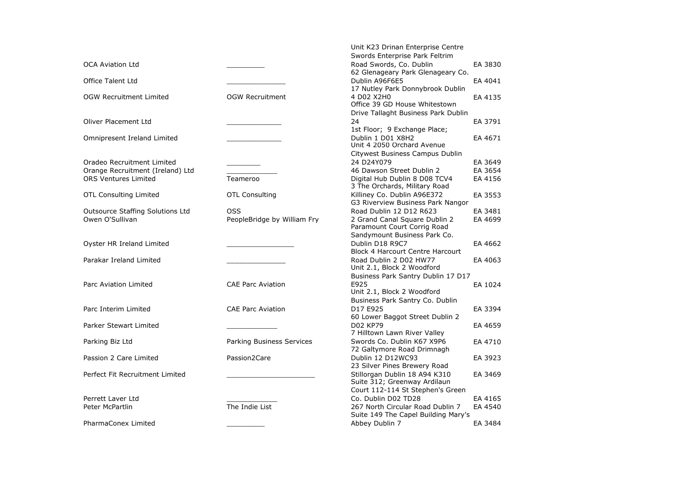|                                                                                               |                                           | Unit K23 Drinan Enterprise Centre                                                                                      |                               |
|-----------------------------------------------------------------------------------------------|-------------------------------------------|------------------------------------------------------------------------------------------------------------------------|-------------------------------|
| <b>OCA Aviation Ltd</b>                                                                       |                                           | Swords Enterprise Park Feltrim<br>Road Swords, Co. Dublin                                                              | EA 3830                       |
| <b>Office Talent Ltd</b>                                                                      |                                           | 62 Glenageary Park Glenageary Co.<br>Dublin A96F6E5                                                                    | EA 4041                       |
| <b>OGW Recruitment Limited</b>                                                                | <b>OGW Recruitment</b>                    | 17 Nutley Park Donnybrook Dublin<br>4 D02 X2H0<br>Office 39 GD House Whitestown<br>Drive Tallaght Business Park Dublin | EA 4135                       |
| <b>Oliver Placement Ltd</b>                                                                   |                                           | 24<br>1st Floor; 9 Exchange Place;                                                                                     | EA 3791                       |
| Omnipresent Ireland Limited                                                                   |                                           | Dublin 1 D01 X8H2<br>Unit 4 2050 Orchard Avenue                                                                        | EA 4671                       |
| Oradeo Recruitment Limited<br>Orange Recruitment (Ireland) Ltd<br><b>ORS Ventures Limited</b> | Teameroo                                  | Citywest Business Campus Dublin<br>24 D24Y079<br>46 Dawson Street Dublin 2<br>Digital Hub Dublin 8 D08 TCV4            | EA 3649<br>EA 3654<br>EA 4156 |
| <b>OTL Consulting Limited</b>                                                                 | <b>OTL Consulting</b>                     | 3 The Orchards, Military Road<br>Killiney Co. Dublin A96E372<br>G3 Riverview Business Park Nangor                      | EA 3553                       |
| Outsource Staffing Solutions Ltd<br>Owen O'Sullivan                                           | <b>OSS</b><br>PeopleBridge by William Fry | Road Dublin 12 D12 R623<br>2 Grand Canal Square Dublin 2<br>Paramount Court Corrig Road                                | EA 3481<br>EA 4699            |
| Oyster HR Ireland Limited                                                                     |                                           | Sandymount Business Park Co.<br>Dublin D18 R9C7<br>Block 4 Harcourt Centre Harcourt                                    | EA 4662                       |
| Parakar Ireland Limited                                                                       |                                           | Road Dublin 2 D02 HW77<br>Unit 2.1, Block 2 Woodford                                                                   | EA 4063                       |
| Parc Aviation Limited                                                                         | <b>CAE Parc Aviation</b>                  | Business Park Santry Dublin 17 D17<br>E925<br>Unit 2.1, Block 2 Woodford                                               | EA 1024                       |
| Parc Interim Limited                                                                          | <b>CAE Parc Aviation</b>                  | Business Park Santry Co. Dublin<br>D17 E925<br>60 Lower Baggot Street Dublin 2                                         | EA 3394                       |
| Parker Stewart Limited                                                                        |                                           | D02 KP79<br>7 Hilltown Lawn River Valley                                                                               | EA 4659                       |
| Parking Biz Ltd                                                                               | Parking Business Services                 | Swords Co. Dublin K67 X9P6<br>72 Galtymore Road Drimnagh                                                               | EA 4710                       |
| Passion 2 Care Limited                                                                        | Passion2Care                              | Dublin 12 D12WC93<br>23 Silver Pines Brewery Road                                                                      | EA 3923                       |
| Perfect Fit Recruitment Limited                                                               |                                           | Stillorgan Dublin 18 A94 K310<br>Suite 312; Greenway Ardilaun<br>Court 112-114 St Stephen's Green                      | EA 3469                       |
| Perrett Laver Ltd                                                                             |                                           | Co. Dublin D02 TD28                                                                                                    | EA 4165                       |
| Peter McPartlin                                                                               | The Indie List                            | 267 North Circular Road Dublin 7<br>Suite 149 The Capel Building Mary's                                                | EA 4540                       |
| PharmaConex Limited                                                                           |                                           | Abbey Dublin 7                                                                                                         | EA 3484                       |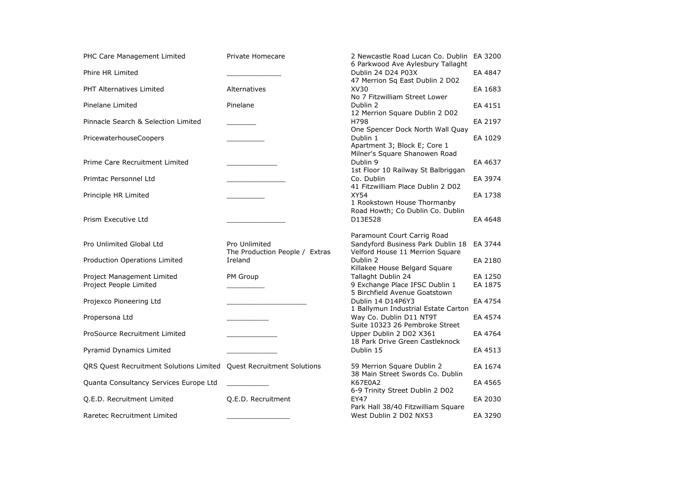| PHC Care Management Limited                                         | Private Homecare                                | 2 Newcastle Road Lucan Co. Dublin<br>6 Parkwood Ave Aylesbury Tallaght                              | EA 3200            |
|---------------------------------------------------------------------|-------------------------------------------------|-----------------------------------------------------------------------------------------------------|--------------------|
| Phire HR Limited                                                    |                                                 | Dublin 24 D24 P03X<br>47 Merrion Sq East Dublin 2 D02                                               | EA 4847            |
| <b>PHT Alternatives Limited</b>                                     | Alternatives                                    | XV30<br>No 7 Fitzwilliam Street Lower                                                               | EA 1683            |
| Pinelane Limited                                                    | Pinelane                                        | Dublin 2<br>12 Merrion Square Dublin 2 D02                                                          | EA 4151            |
| Pinnacle Search & Selection Limited                                 |                                                 | H798<br>One Spencer Dock North Wall Quay                                                            | EA 2197            |
| PricewaterhouseCoopers                                              |                                                 | Dublin 1<br>Apartment 3; Block E; Core 1<br>Milner's Square Shanowen Road                           | EA 1029            |
| Prime Care Recruitment Limited                                      |                                                 | Dublin 9<br>1st Floor 10 Railway St Balbriggan                                                      | EA 4637            |
| Primtac Personnel Ltd                                               |                                                 | Co. Dublin<br>41 Fitzwilliam Place Dublin 2 D02                                                     | EA 3974            |
| Principle HR Limited                                                |                                                 | <b>XY54</b><br>1 Rookstown House Thormanby                                                          | EA 1738            |
| Prism Executive Ltd                                                 |                                                 | Road Howth; Co Dublin Co. Dublin<br>D13E528                                                         | EA 4648            |
| Pro Unlimited Global Ltd                                            | Pro Unlimited<br>The Production People / Extras | Paramount Court Carrig Road<br>Sandyford Business Park Dublin 18<br>Velford House 11 Merrion Square | EA 3744            |
| Production Operations Limited                                       | Ireland                                         | Dublin 2<br>Killakee House Belgard Square                                                           | EA 2180            |
| Project Management Limited<br>Project People Limited                | PM Group                                        | Tallaght Dublin 24<br>9 Exchange Place IFSC Dublin 1<br>5 Birchfield Avenue Goatstown               | EA 1250<br>EA 1875 |
| Projexco Pioneering Ltd                                             |                                                 | Dublin 14 D14P6Y3                                                                                   | EA 4754            |
| Propersona Ltd                                                      |                                                 | 1 Ballymun Industrial Estate Carton<br>Way Co. Dublin D11 NT9T<br>Suite 10323 26 Pembroke Street    | EA 4574            |
| ProSource Recruitment Limited                                       |                                                 | Upper Dublin 2 D02 X361<br>18 Park Drive Green Castleknock                                          | EA 4764            |
| Pyramid Dynamics Limited                                            |                                                 | Dublin 15                                                                                           | EA 4513            |
| QRS Quest Recruitment Solutions Limited Quest Recruitment Solutions |                                                 | 59 Merrion Square Dublin 2<br>38 Main Street Swords Co. Dublin                                      | EA 1674            |
| Quanta Consultancy Services Europe Ltd                              |                                                 | K67E0A2<br>6-9 Trinity Street Dublin 2 D02                                                          | EA 4565            |
| Q.E.D. Recruitment Limited                                          | Q.E.D. Recruitment                              | <b>EY47</b><br>Park Hall 38/40 Fitzwilliam Square                                                   | EA 2030            |
| Raretec Recruitment Limited                                         |                                                 | West Dublin 2 D02 NX53                                                                              | EA 3290            |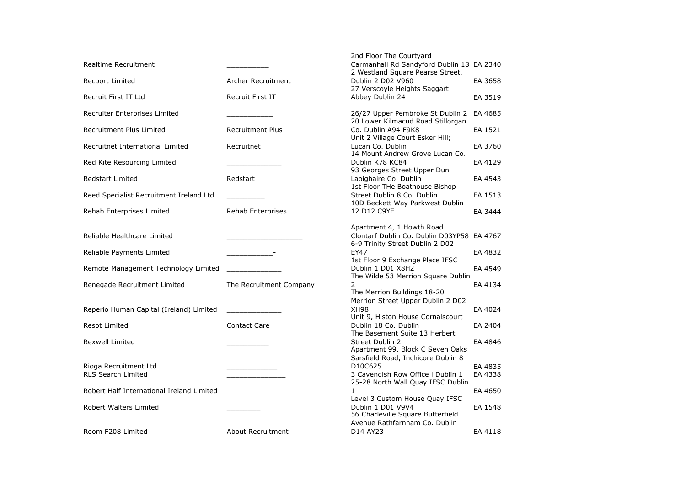|                                           |                         | 2nd Floor The Courtyard                                                                                    |         |
|-------------------------------------------|-------------------------|------------------------------------------------------------------------------------------------------------|---------|
| Realtime Recruitment                      |                         | Carmanhall Rd Sandyford Dublin 18 EA 2340<br>2 Westland Square Pearse Street,                              |         |
| Recport Limited                           | Archer Recruitment      | Dublin 2 D02 V960<br>27 Verscoyle Heights Saggart                                                          | EA 3658 |
| Recruit First IT Ltd                      | <b>Recruit First IT</b> | Abbey Dublin 24                                                                                            | EA 3519 |
| Recruiter Enterprises Limited             |                         | 26/27 Upper Pembroke St Dublin 2<br>20 Lower Kilmacud Road Stillorgan                                      | EA 4685 |
| Recruitment Plus Limited                  | <b>Recruitment Plus</b> | Co. Dublin A94 F9K8<br>Unit 2 Village Court Esker Hill;                                                    | EA 1521 |
| Recruitnet International Limited          | Recruitnet              | Lucan Co. Dublin<br>14 Mount Andrew Grove Lucan Co.                                                        | EA 3760 |
| Red Kite Resourcing Limited               |                         | Dublin K78 KC84<br>93 Georges Street Upper Dun                                                             | EA 4129 |
| <b>Redstart Limited</b>                   | Redstart                | Laoighaire Co. Dublin<br>1st Floor THe Boathouse Bishop                                                    | EA 4543 |
| Reed Specialist Recruitment Ireland Ltd   |                         | Street Dublin 8 Co. Dublin<br>10D Beckett Way Parkwest Dublin                                              | EA 1513 |
| Rehab Enterprises Limited                 | Rehab Enterprises       | 12 D12 C9YE                                                                                                | EA 3444 |
| Reliable Healthcare Limited               |                         | Apartment 4, 1 Howth Road<br>Clontarf Dublin Co. Dublin D03YP58 EA 4767<br>6-9 Trinity Street Dublin 2 D02 |         |
| Reliable Payments Limited                 |                         | EY47                                                                                                       | EA 4832 |
| Remote Management Technology Limited      |                         | 1st Floor 9 Exchange Place IFSC<br>Dublin 1 D01 X8H2<br>The Wilde 53 Merrion Square Dublin                 | EA 4549 |
| Renegade Recruitment Limited              | The Recruitment Company | 2<br>The Merrion Buildings 18-20                                                                           | EA 4134 |
| Reperio Human Capital (Ireland) Limited   |                         | Merrion Street Upper Dublin 2 D02<br><b>XH98</b><br>Unit 9, Histon House Cornalscourt                      | EA 4024 |
| Resot Limited                             | <b>Contact Care</b>     | Dublin 18 Co. Dublin<br>The Basement Suite 13 Herbert                                                      | EA 2404 |
| <b>Rexwell Limited</b>                    |                         | Street Dublin 2<br>Apartment 99, Block C Seven Oaks<br>Sarsfield Road, Inchicore Dublin 8                  | EA 4846 |
| Rioga Recruitment Ltd                     |                         | D10C625                                                                                                    | EA 4835 |
| <b>RLS Search Limited</b>                 |                         | 3 Cavendish Row Office I Dublin 1<br>25-28 North Wall Quay IFSC Dublin                                     | EA 4338 |
| Robert Half International Ireland Limited |                         | 1<br>Level 3 Custom House Quay IFSC                                                                        | EA 4650 |
| Robert Walters Limited                    |                         | Dublin 1 D01 V9V4<br>56 Charleville Square Butterfield<br>Avenue Rathfarnham Co. Dublin                    | EA 1548 |
| Room F208 Limited                         | About Recruitment       | D14 AY23                                                                                                   | EA 4118 |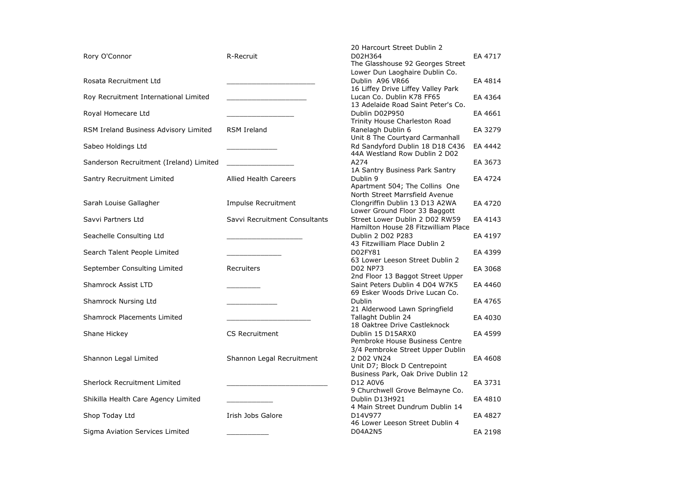|                                         |                               | 20 Harcourt Street Dublin 2         |         |
|-----------------------------------------|-------------------------------|-------------------------------------|---------|
| Rory O'Connor                           | R-Recruit                     | D02H364                             | EA 4717 |
|                                         |                               | The Glasshouse 92 Georges Street    |         |
|                                         |                               | Lower Dun Laoghaire Dublin Co.      |         |
| Rosata Recruitment Ltd                  |                               | Dublin A96 VR66                     | EA 4814 |
|                                         |                               | 16 Liffey Drive Liffey Valley Park  |         |
| Roy Recruitment International Limited   |                               | Lucan Co. Dublin K78 FF65           | EA 4364 |
|                                         |                               | 13 Adelaide Road Saint Peter's Co.  |         |
| Royal Homecare Ltd                      |                               | Dublin D02P950                      | EA 4661 |
|                                         |                               | Trinity House Charleston Road       |         |
| RSM Ireland Business Advisory Limited   | <b>RSM Ireland</b>            | Ranelagh Dublin 6                   | EA 3279 |
|                                         |                               | Unit 8 The Courtyard Carmanhall     |         |
| Sabeo Holdings Ltd                      |                               | Rd Sandyford Dublin 18 D18 C436     | EA 4442 |
|                                         |                               | 44A Westland Row Dublin 2 D02       |         |
| Sanderson Recruitment (Ireland) Limited |                               | A274                                | EA 3673 |
|                                         |                               | 1A Santry Business Park Santry      |         |
| Santry Recruitment Limited              | <b>Allied Health Careers</b>  | Dublin 9                            | EA 4724 |
|                                         |                               | Apartment 504; The Collins One      |         |
|                                         |                               | North Street Marrsfield Avenue      |         |
| Sarah Louise Gallagher                  | <b>Impulse Recruitment</b>    | Clongriffin Dublin 13 D13 A2WA      | EA 4720 |
|                                         |                               | Lower Ground Floor 33 Baggott       |         |
| Savvi Partners Ltd                      | Savvi Recruitment Consultants | Street Lower Dublin 2 D02 RW59      | EA 4143 |
|                                         |                               | Hamilton House 28 Fitzwilliam Place |         |
| Seachelle Consulting Ltd                |                               | Dublin 2 D02 P283                   | EA 4197 |
|                                         |                               | 43 Fitzwilliam Place Dublin 2       |         |
| Search Talent People Limited            |                               | D02FY81                             | EA 4399 |
|                                         |                               | 63 Lower Leeson Street Dublin 2     |         |
| September Consulting Limited            | Recruiters                    | D02 NP73                            | EA 3068 |
|                                         |                               | 2nd Floor 13 Baggot Street Upper    |         |
| Shamrock Assist LTD                     |                               | Saint Peters Dublin 4 D04 W7K5      | EA 4460 |
|                                         |                               | 69 Esker Woods Drive Lucan Co.      |         |
| Shamrock Nursing Ltd                    |                               | <b>Dublin</b>                       | EA 4765 |
|                                         |                               | 21 Alderwood Lawn Springfield       |         |
| <b>Shamrock Placements Limited</b>      |                               | Tallaght Dublin 24                  | EA 4030 |
|                                         |                               | 18 Oaktree Drive Castleknock        |         |
| Shane Hickey                            | <b>CS Recruitment</b>         | Dublin 15 D15ARX0                   | EA 4599 |
|                                         |                               | Pembroke House Business Centre      |         |
|                                         |                               | 3/4 Pembroke Street Upper Dublin    |         |
| Shannon Legal Limited                   | Shannon Legal Recruitment     | 2 D02 VN24                          | EA 4608 |
|                                         |                               | Unit D7; Block D Centrepoint        |         |
|                                         |                               | Business Park, Oak Drive Dublin 12  |         |
| Sherlock Recruitment Limited            |                               | D12 A0V6                            | EA 3731 |
|                                         |                               | 9 Churchwell Grove Belmayne Co.     |         |
| Shikilla Health Care Agency Limited     |                               | Dublin D13H921                      | EA 4810 |
|                                         |                               | 4 Main Street Dundrum Dublin 14     |         |
| Shop Today Ltd                          | Irish Jobs Galore             | D14V977                             | EA 4827 |
|                                         |                               | 46 Lower Leeson Street Dublin 4     |         |
| Sigma Aviation Services Limited         |                               | D04A2N5                             | EA 2198 |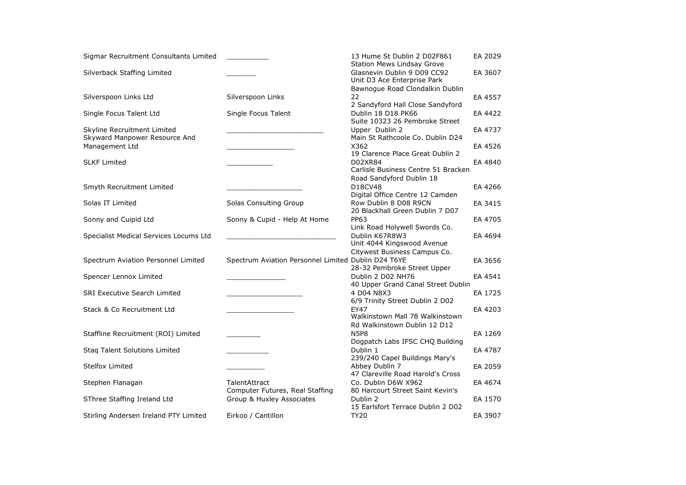| Sigmar Recruitment Consultants Limited |                                                     | 13 Hume St Dublin 2 D02F861<br><b>Station Mews Lindsay Grove</b> | EA 2029 |
|----------------------------------------|-----------------------------------------------------|------------------------------------------------------------------|---------|
| Silverback Staffing Limited            |                                                     | Glasnevin Dublin 9 D09 CC92<br>Unit D3 Ace Enterprise Park       | EA 3607 |
|                                        |                                                     | Bawnogue Road Clondalkin Dublin                                  |         |
| Silverspoon Links Ltd                  | Silverspoon Links                                   | 22                                                               | EA 4557 |
|                                        |                                                     | 2 Sandyford Hall Close Sandyford                                 |         |
| Single Focus Talent Ltd                | Single Focus Talent                                 | Dublin 18 D18 PK66<br>Suite 10323 26 Pembroke Street             | EA 4422 |
| Skyline Recruitment Limited            |                                                     | Upper Dublin 2                                                   | EA 4737 |
| Skyward Manpower Resource And          |                                                     | Main St Rathcoole Co. Dublin D24                                 |         |
| Management Ltd                         |                                                     | X362                                                             | EA 4526 |
|                                        |                                                     | 19 Clarence Place Great Dublin 2                                 |         |
| <b>SLKF Limited</b>                    |                                                     | D02XR84                                                          | EA 4840 |
|                                        |                                                     | Carlisle Business Centre 51 Bracken                              |         |
|                                        |                                                     | Road Sandyford Dublin 18                                         |         |
|                                        |                                                     | D18CV48                                                          |         |
| Smyth Recruitment Limited              |                                                     |                                                                  | EA 4266 |
|                                        |                                                     | Digital Office Centre 12 Camden                                  |         |
| Solas IT Limited                       | Solas Consulting Group                              | Row Dublin 8 D08 R9CN                                            | EA 3415 |
|                                        |                                                     | 20 Blackhall Green Dublin 7 D07                                  |         |
| Sonny and Cuipid Ltd                   | Sonny & Cupid - Help At Home                        | <b>PP63</b>                                                      | EA 4705 |
|                                        |                                                     | Link Road Holywell Swords Co.                                    |         |
| Specialist Medical Services Locums Ltd |                                                     | Dublin K67R8W3                                                   | EA 4694 |
|                                        |                                                     | Unit 4044 Kingswood Avenue                                       |         |
|                                        |                                                     | Citywest Business Campus Co.                                     |         |
| Spectrum Aviation Personnel Limited    | Spectrum Aviation Personnel Limited Dublin D24 T6YE |                                                                  | EA 3656 |
|                                        |                                                     | 28-32 Pembroke Street Upper                                      |         |
| Spencer Lennox Limited                 |                                                     | Dublin 2 D02 NH76                                                | EA 4541 |
|                                        |                                                     | 40 Upper Grand Canal Street Dublin                               |         |
| <b>SRI Executive Search Limited</b>    |                                                     | 4 D04 N8X3                                                       | EA 1725 |
|                                        |                                                     | 6/9 Trinity Street Dublin 2 D02                                  |         |
| Stack & Co Recruitment Ltd             |                                                     | <b>EY47</b>                                                      | EA 4203 |
|                                        |                                                     | Walkinstown Mall 78 Walkinstown                                  |         |
|                                        |                                                     | Rd Walkinstown Dublin 12 D12                                     |         |
| Staffline Recruitment (ROI) Limited    |                                                     | <b>N5P8</b>                                                      | EA 1269 |
|                                        |                                                     | Dogpatch Labs IFSC CHQ Building                                  |         |
| Staq Talent Solutions Limited          |                                                     | Dublin 1                                                         | EA 4787 |
|                                        |                                                     | 239/240 Capel Buildings Mary's                                   |         |
| <b>Stelfox Limited</b>                 |                                                     | Abbey Dublin 7                                                   | EA 2059 |
|                                        |                                                     | 47 Clareville Road Harold's Cross                                |         |
| Stephen Flanagan                       | TalentAttract                                       | Co. Dublin D6W X962                                              | EA 4674 |
|                                        | Computer Futures, Real Staffing                     | 80 Harcourt Street Saint Kevin's                                 |         |
| SThree Staffing Ireland Ltd            | Group & Huxley Associates                           | Dublin 2                                                         | EA 1570 |
|                                        |                                                     | 15 Earlsfort Terrace Dublin 2 D02                                |         |
|                                        | Eirkoo / Cantillon                                  | <b>TY20</b>                                                      | EA 3907 |
| Stirling Andersen Ireland PTY Limited  |                                                     |                                                                  |         |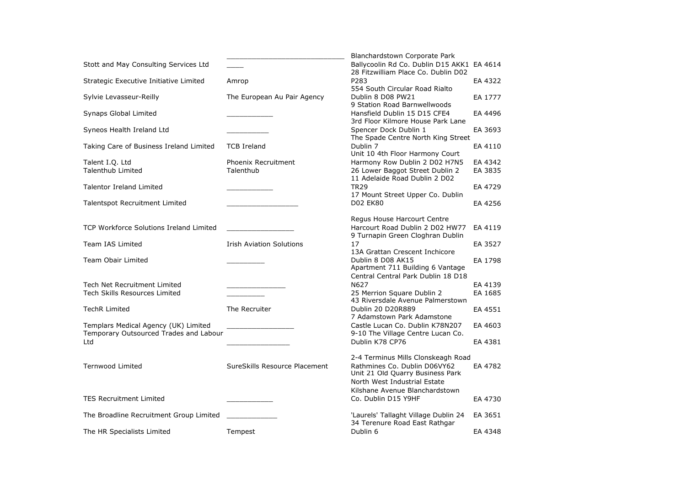|                                         |                                 | Blanchardstown Corporate Park                                                           |         |
|-----------------------------------------|---------------------------------|-----------------------------------------------------------------------------------------|---------|
| Stott and May Consulting Services Ltd   |                                 | Ballycoolin Rd Co. Dublin D15 AKK1 EA 4614                                              |         |
| Strategic Executive Initiative Limited  | Amrop                           | 28 Fitzwilliam Place Co. Dublin D02<br>P283                                             | EA 4322 |
|                                         |                                 | 554 South Circular Road Rialto                                                          |         |
| Sylvie Levasseur-Reilly                 | The European Au Pair Agency     | Dublin 8 D08 PW21<br>9 Station Road Barnwellwoods                                       | EA 1777 |
| Synaps Global Limited                   |                                 | Hansfield Dublin 15 D15 CFE4<br>3rd Floor Kilmore House Park Lane                       | EA 4496 |
| Syneos Health Ireland Ltd               |                                 | Spencer Dock Dublin 1<br>The Spade Centre North King Street                             | EA 3693 |
| Taking Care of Business Ireland Limited | <b>TCB Ireland</b>              | Dublin 7<br>Unit 10 4th Floor Harmony Court                                             | EA 4110 |
| Talent I.O. Ltd                         | Phoenix Recruitment             | Harmony Row Dublin 2 D02 H7N5                                                           | EA 4342 |
| <b>Talenthub Limited</b>                | Talenthub                       | 26 Lower Baggot Street Dublin 2<br>11 Adelaide Road Dublin 2 D02                        | EA 3835 |
| <b>Talentor Ireland Limited</b>         |                                 | <b>TR29</b>                                                                             | EA 4729 |
| Talentspot Recruitment Limited          |                                 | 17 Mount Street Upper Co. Dublin<br><b>D02 EK80</b>                                     | EA 4256 |
|                                         |                                 | Regus House Harcourt Centre                                                             |         |
| TCP Workforce Solutions Ireland Limited |                                 | Harcourt Road Dublin 2 D02 HW77<br>9 Turnapin Green Cloghran Dublin                     | EA 4119 |
| <b>Team IAS Limited</b>                 | <b>Irish Aviation Solutions</b> | 17                                                                                      | EA 3527 |
| Team Obair Limited                      |                                 | 13A Grattan Crescent Inchicore<br>Dublin 8 D08 AK15<br>Apartment 711 Building 6 Vantage | EA 1798 |
|                                         |                                 | Central Central Park Dublin 18 D18                                                      |         |
| Tech Net Recruitment Limited            |                                 | N627                                                                                    | EA 4139 |
| <b>Tech Skills Resources Limited</b>    |                                 | 25 Merrion Square Dublin 2                                                              | EA 1685 |
| <b>TechR Limited</b>                    | The Recruiter                   | 43 Riversdale Avenue Palmerstown<br>Dublin 20 D20R889                                   | EA 4551 |
|                                         |                                 | 7 Adamstown Park Adamstone                                                              |         |
| Templars Medical Agency (UK) Limited    |                                 | Castle Lucan Co. Dublin K78N207                                                         | EA 4603 |
| Temporary Outsourced Trades and Labour  |                                 | 9-10 The Village Centre Lucan Co.                                                       |         |
| Ltd                                     |                                 | Dublin K78 CP76                                                                         | EA 4381 |
|                                         |                                 | 2-4 Terminus Mills Clonskeagh Road                                                      |         |
| <b>Ternwood Limited</b>                 | SureSkills Resource Placement   | Rathmines Co. Dublin D06VY62                                                            | EA 4782 |
|                                         |                                 | Unit 21 Old Quarry Business Park                                                        |         |
|                                         |                                 | North West Industrial Estate<br>Kilshane Avenue Blanchardstown                          |         |
| <b>TES Recruitment Limited</b>          |                                 | Co. Dublin D15 Y9HF                                                                     | EA 4730 |
| The Broadline Recruitment Group Limited |                                 | 'Laurels' Tallaght Village Dublin 24<br>34 Terenure Road East Rathgar                   | EA 3651 |
| The HR Specialists Limited              | Tempest                         | Dublin 6                                                                                | EA 4348 |
|                                         |                                 |                                                                                         |         |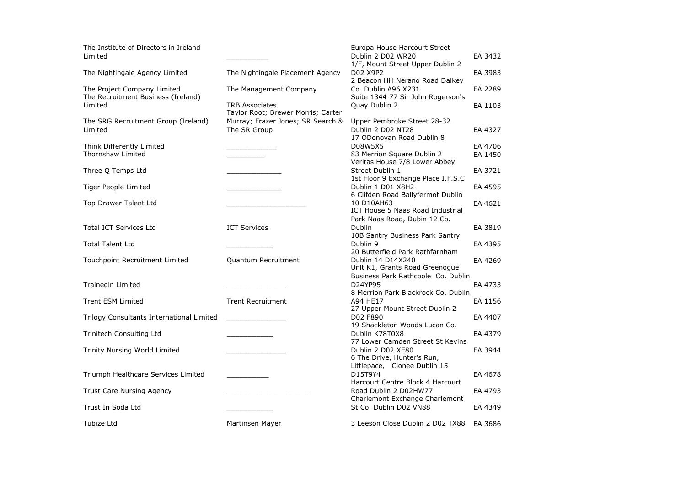| The Institute of Directors in Ireland<br>Limited                  |                                                             | Europa House Harcourt Street<br>Dublin 2 D02 WR20<br>1/F, Mount Street Upper Dublin 2 | EA 3432 |
|-------------------------------------------------------------------|-------------------------------------------------------------|---------------------------------------------------------------------------------------|---------|
| The Nightingale Agency Limited                                    | The Nightingale Placement Agency                            | D02 X9P2<br>2 Beacon Hill Nerano Road Dalkey                                          | EA 3983 |
| The Project Company Limited<br>The Recruitment Business (Ireland) | The Management Company                                      | Co. Dublin A96 X231<br>Suite 1344 77 Sir John Rogerson's                              | EA 2289 |
| Limited                                                           | <b>TRB Associates</b><br>Taylor Root; Brewer Morris; Carter | Quay Dublin 2                                                                         | EA 1103 |
| The SRG Recruitment Group (Ireland)<br>Limited                    | Murray; Frazer Jones; SR Search &<br>The SR Group           | Upper Pembroke Street 28-32<br>Dublin 2 D02 NT28                                      | EA 4327 |
|                                                                   |                                                             | 17 ODonovan Road Dublin 8                                                             |         |
| Think Differently Limited<br>Thornshaw Limited                    |                                                             | D08W5X5<br>83 Merrion Square Dublin 2                                                 | EA 4706 |
|                                                                   |                                                             | Veritas House 7/8 Lower Abbey                                                         | EA 1450 |
| Three Q Temps Ltd                                                 |                                                             | Street Dublin 1<br>1st Floor 9 Exchange Place I.F.S.C                                 | EA 3721 |
| Tiger People Limited                                              |                                                             | Dublin 1 D01 X8H2                                                                     | EA 4595 |
|                                                                   |                                                             | 6 Clifden Road Ballyfermot Dublin                                                     |         |
| Top Drawer Talent Ltd                                             |                                                             | 10 D10AH63<br>ICT House 5 Naas Road Industrial                                        | EA 4621 |
|                                                                   |                                                             | Park Naas Road, Dubin 12 Co.                                                          |         |
| <b>Total ICT Services Ltd</b>                                     | <b>ICT Services</b>                                         | Dublin<br>10B Santry Business Park Santry                                             | EA 3819 |
| <b>Total Talent Ltd</b>                                           |                                                             | Dublin 9<br>20 Butterfield Park Rathfarnham                                           | EA 4395 |
| Touchpoint Recruitment Limited                                    | Quantum Recruitment                                         | Dublin 14 D14X240<br>Unit K1, Grants Road Greenogue                                   | EA 4269 |
|                                                                   |                                                             | Business Park Rathcoole Co. Dublin                                                    |         |
| <b>TrainedIn Limited</b>                                          |                                                             | D24YP95                                                                               | EA 4733 |
| <b>Trent ESM Limited</b>                                          | <b>Trent Recruitment</b>                                    | 8 Merrion Park Blackrock Co. Dublin<br>A94 HE17                                       | EA 1156 |
|                                                                   |                                                             | 27 Upper Mount Street Dublin 2                                                        |         |
| Trilogy Consultants International Limited                         |                                                             | D02 F890<br>19 Shackleton Woods Lucan Co.                                             | EA 4407 |
| Trinitech Consulting Ltd                                          |                                                             | Dublin K78T0X8                                                                        | EA 4379 |
| Trinity Nursing World Limited                                     |                                                             | 77 Lower Camden Street St Kevins<br>Dublin 2 D02 XE80                                 | EA 3944 |
|                                                                   |                                                             | 6 The Drive, Hunter's Run,<br>Littlepace, Clonee Dublin 15                            |         |
| Triumph Healthcare Services Limited                               |                                                             | D15T9Y4                                                                               | EA 4678 |
| Trust Care Nursing Agency                                         |                                                             | Harcourt Centre Block 4 Harcourt<br>Road Dublin 2 D02HW77                             | EA 4793 |
| Trust In Soda Ltd                                                 |                                                             | Charlemont Exchange Charlemont<br>St Co. Dublin D02 VN88                              | EA 4349 |
| Tubize Ltd                                                        | Martinsen Mayer                                             | 3 Leeson Close Dublin 2 D02 TX88                                                      | EA 3686 |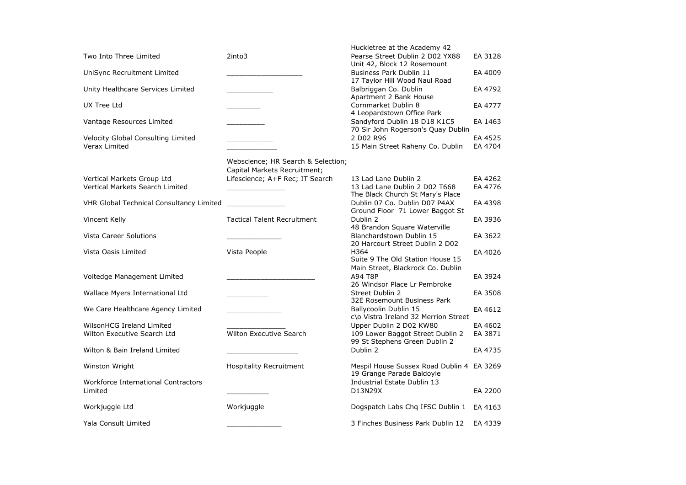| Two Into Three Limited                                               | 2into3                                                             | Huckletree at the Academy 42<br>Pearse Street Dublin 2 D02 YX88                                                                      | EA 3128            |
|----------------------------------------------------------------------|--------------------------------------------------------------------|--------------------------------------------------------------------------------------------------------------------------------------|--------------------|
| UniSync Recruitment Limited                                          |                                                                    | Unit 42, Block 12 Rosemount<br><b>Business Park Dublin 11</b>                                                                        | EA 4009            |
| Unity Healthcare Services Limited                                    |                                                                    | 17 Taylor Hill Wood Naul Road<br>Balbriggan Co. Dublin<br>Apartment 2 Bank House                                                     | EA 4792            |
| UX Tree Ltd                                                          |                                                                    | Cornmarket Dublin 8                                                                                                                  | EA 4777            |
| Vantage Resources Limited                                            |                                                                    | 4 Leopardstown Office Park<br>Sandyford Dublin 18 D18 K1C5<br>70 Sir John Rogerson's Quay Dublin                                     | EA 1463            |
| Velocity Global Consulting Limited<br>Verax Limited                  |                                                                    | 2 D02 R96<br>15 Main Street Raheny Co. Dublin                                                                                        | EA 4525<br>EA 4704 |
|                                                                      | Webscience; HR Search & Selection;<br>Capital Markets Recruitment; |                                                                                                                                      |                    |
| Vertical Markets Group Ltd<br><b>Vertical Markets Search Limited</b> | Lifescience; A+F Rec; IT Search                                    | 13 Lad Lane Dublin 2<br>13 Lad Lane Dublin 2 D02 T668                                                                                | EA 4262<br>EA 4776 |
| <b>VHR Global Technical Consultancy Limited</b>                      |                                                                    | The Black Church St Mary's Place<br>Dublin 07 Co. Dublin D07 P4AX                                                                    | EA 4398            |
| Vincent Kelly                                                        | <b>Tactical Talent Recruitment</b>                                 | Ground Floor 71 Lower Baggot St<br>Dublin 2                                                                                          | EA 3936            |
| Vista Career Solutions                                               |                                                                    | 48 Brandon Square Waterville<br>Blanchardstown Dublin 15                                                                             | EA 3622            |
| Vista Oasis Limited                                                  | Vista People                                                       | 20 Harcourt Street Dublin 2 D02<br>H364<br>Suite 9 The Old Station House 15                                                          | EA 4026            |
| Voltedge Management Limited                                          |                                                                    | Main Street, Blackrock Co. Dublin<br><b>A94 T8P</b><br>26 Windsor Place Lr Pembroke                                                  | EA 3924            |
| Wallace Myers International Ltd                                      |                                                                    | Street Dublin 2                                                                                                                      | EA 3508            |
| We Care Healthcare Agency Limited                                    |                                                                    | 32E Rosemount Business Park<br>Ballycoolin Dublin 15                                                                                 | EA 4612            |
| WilsonHCG Ireland Limited<br>Wilton Executive Search Ltd             | Wilton Executive Search                                            | c\o Vistra Ireland 32 Merrion Street<br>Upper Dublin 2 D02 KW80<br>109 Lower Baggot Street Dublin 2<br>99 St Stephens Green Dublin 2 | EA 4602<br>EA 3871 |
| Wilton & Bain Ireland Limited                                        |                                                                    | Dublin 2                                                                                                                             | EA 4735            |
| Winston Wright                                                       | Hospitality Recruitment                                            | Mespil House Sussex Road Dublin 4 EA 3269<br>19 Grange Parade Baldoyle                                                               |                    |
| Workforce International Contractors<br>Limited                       |                                                                    | Industrial Estate Dublin 13<br>D13N29X                                                                                               | EA 2200            |
| Workjuggle Ltd                                                       | Workjuggle                                                         | Dogspatch Labs Chq IFSC Dublin 1                                                                                                     | EA 4163            |
| Yala Consult Limited                                                 |                                                                    | 3 Finches Business Park Dublin 12                                                                                                    | EA 4339            |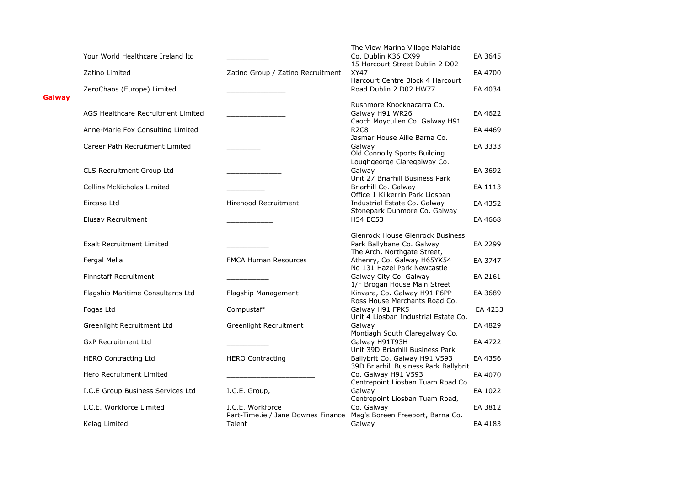|        |                                    |                                                                                         | The View Marina Village Malahide                                                                  |         |
|--------|------------------------------------|-----------------------------------------------------------------------------------------|---------------------------------------------------------------------------------------------------|---------|
|        | Your World Healthcare Ireland Itd  |                                                                                         | Co. Dublin K36 CX99<br>15 Harcourt Street Dublin 2 D02                                            | EA 3645 |
|        | Zatino Limited                     | Zatino Group / Zatino Recruitment                                                       | <b>XY47</b><br>Harcourt Centre Block 4 Harcourt                                                   | EA 4700 |
| Galway | ZeroChaos (Europe) Limited         |                                                                                         | Road Dublin 2 D02 HW77                                                                            | EA 4034 |
|        |                                    |                                                                                         | Rushmore Knocknacarra Co.                                                                         |         |
|        | AGS Healthcare Recruitment Limited |                                                                                         | Galway H91 WR26<br>Caoch Moycullen Co. Galway H91                                                 | EA 4622 |
|        | Anne-Marie Fox Consulting Limited  |                                                                                         | <b>R2C8</b><br>Jasmar House Aille Barna Co.                                                       | EA 4469 |
|        | Career Path Recruitment Limited    |                                                                                         | Galway<br>Old Connolly Sports Building                                                            | EA 3333 |
|        | CLS Recruitment Group Ltd          |                                                                                         | Loughgeorge Claregalway Co.<br>Galway<br>Unit 27 Briarhill Business Park                          | EA 3692 |
|        | <b>Collins McNicholas Limited</b>  |                                                                                         | Briarhill Co. Galway<br>Office 1 Kilkerrin Park Liosban                                           | EA 1113 |
|        | Eircasa Ltd                        | Hirehood Recruitment                                                                    | Industrial Estate Co. Galway<br>Stonepark Dunmore Co. Galway                                      | EA 4352 |
|        | Elusay Recruitment                 |                                                                                         | <b>H54 EC53</b>                                                                                   | EA 4668 |
|        |                                    |                                                                                         | <b>Glenrock House Glenrock Business</b>                                                           |         |
|        | <b>Exalt Recruitment Limited</b>   |                                                                                         | Park Ballybane Co. Galway<br>The Arch, Northgate Street,                                          | EA 2299 |
|        | Fergal Melia                       | <b>FMCA Human Resources</b>                                                             | Athenry, Co. Galway H65YK54<br>No 131 Hazel Park Newcastle                                        | EA 3747 |
|        | <b>Finnstaff Recruitment</b>       |                                                                                         | Galway City Co. Galway<br>1/F Brogan House Main Street                                            | EA 2161 |
|        | Flagship Maritime Consultants Ltd  | Flagship Management                                                                     | Kinvara, Co. Galway H91 P6PP<br>Ross House Merchants Road Co.                                     | EA 3689 |
|        | Fogas Ltd                          | Compustaff                                                                              | Galway H91 FPK5<br>Unit 4 Liosban Industrial Estate Co.                                           | EA 4233 |
|        | Greenlight Recruitment Ltd         | Greenlight Recruitment                                                                  | Galway<br>Montiagh South Claregalway Co.                                                          | EA 4829 |
|        | <b>GxP Recruitment Ltd</b>         |                                                                                         | Galway H91T93H<br>Unit 39D Briarhill Business Park                                                | EA 4722 |
|        | <b>HERO Contracting Ltd</b>        | <b>HERO Contracting</b>                                                                 | Ballybrit Co. Galway H91 V593                                                                     | EA 4356 |
|        | Hero Recruitment Limited           |                                                                                         | 39D Briarhill Business Park Ballybrit<br>Co. Galway H91 V593<br>Centrepoint Liosban Tuam Road Co. | EA 4070 |
|        | I.C.E Group Business Services Ltd  | I.C.E. Group,                                                                           | Galway<br>Centrepoint Liosban Tuam Road,                                                          | EA 1022 |
|        | I.C.E. Workforce Limited           | I.C.E. Workforce<br>Part-Time.ie / Jane Downes Finance Mag's Boreen Freeport, Barna Co. | Co. Galway                                                                                        | EA 3812 |
|        | Kelag Limited                      | Talent                                                                                  | Galway                                                                                            | EA 4183 |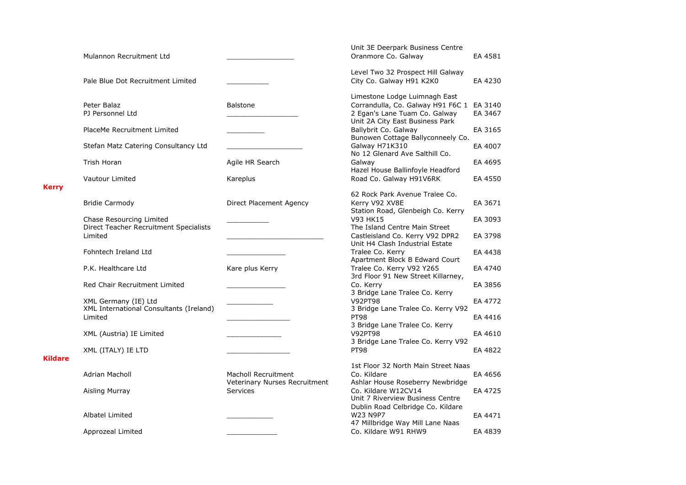|                |                                         |                               | Unit 3E Deerpark Business Centre                                 |         |
|----------------|-----------------------------------------|-------------------------------|------------------------------------------------------------------|---------|
|                | Mulannon Recruitment Ltd                |                               | Oranmore Co. Galway                                              | EA 4581 |
|                |                                         |                               | Level Two 32 Prospect Hill Galway                                |         |
|                | Pale Blue Dot Recruitment Limited       |                               | City Co. Galway H91 K2K0                                         | EA 4230 |
|                |                                         |                               | Limestone Lodge Luimnagh East                                    |         |
|                | Peter Balaz                             | <b>Balstone</b>               | Corrandulla, Co. Galway H91 F6C 1                                | EA 3140 |
|                | PJ Personnel Ltd                        |                               | 2 Egan's Lane Tuam Co. Galway<br>Unit 2A City East Business Park | EA 3467 |
|                | PlaceMe Recruitment Limited             |                               | Ballybrit Co. Galway<br>Bunowen Cottage Ballyconneely Co.        | EA 3165 |
|                | Stefan Matz Catering Consultancy Ltd    |                               | Galway H71K310<br>No 12 Glenard Ave Salthill Co.                 | EA 4007 |
|                | Trish Horan                             | Agile HR Search               | Galway<br>Hazel House Ballinfoyle Headford                       | EA 4695 |
|                | Vautour Limited                         | Kareplus                      | Road Co. Galway H91V6RK                                          | EA 4550 |
| <b>Kerry</b>   |                                         |                               | 62 Rock Park Avenue Tralee Co.                                   |         |
|                | <b>Bridie Carmody</b>                   | Direct Placement Agency       | Kerry V92 XV8E                                                   | EA 3671 |
|                |                                         |                               | Station Road, Glenbeigh Co. Kerry                                |         |
|                | Chase Resourcing Limited                |                               | V93 HK15                                                         | EA 3093 |
|                | Direct Teacher Recruitment Specialists  |                               | The Island Centre Main Street                                    |         |
|                | Limited                                 |                               | Castleisland Co. Kerry V92 DPR2                                  | EA 3798 |
|                |                                         |                               | Unit H4 Clash Industrial Estate                                  |         |
|                | Fohntech Ireland Ltd                    |                               | Tralee Co. Kerry                                                 | EA 4438 |
|                |                                         |                               | Apartment Block B Edward Court                                   |         |
|                | P.K. Healthcare Ltd                     | Kare plus Kerry               | Tralee Co. Kerry V92 Y265                                        | EA 4740 |
|                |                                         |                               | 3rd Floor 91 New Street Killarney,                               |         |
|                | Red Chair Recruitment Limited           |                               | Co. Kerry                                                        | EA 3856 |
|                |                                         |                               | 3 Bridge Lane Tralee Co. Kerry                                   |         |
|                | XML Germany (IE) Ltd                    |                               | <b>V92PT98</b>                                                   | EA 4772 |
|                | XML International Consultants (Ireland) |                               | 3 Bridge Lane Tralee Co. Kerry V92                               |         |
|                | Limited                                 |                               | <b>PT98</b>                                                      | EA 4416 |
|                |                                         |                               | 3 Bridge Lane Tralee Co. Kerry                                   |         |
|                | XML (Austria) IE Limited                |                               | <b>V92PT98</b>                                                   | EA 4610 |
|                |                                         |                               | 3 Bridge Lane Tralee Co. Kerry V92                               |         |
| <b>Kildare</b> | XML (ITALY) IE LTD                      |                               | <b>PT98</b>                                                      | EA 4822 |
|                |                                         |                               | 1st Floor 32 North Main Street Naas                              |         |
|                | Adrian Macholl                          | <b>Macholl Recruitment</b>    | Co. Kildare                                                      | EA 4656 |
|                |                                         | Veterinary Nurses Recruitment | Ashlar House Roseberry Newbridge                                 |         |
|                | Aisling Murray                          | Services                      | Co. Kildare W12CV14                                              | EA 4725 |
|                |                                         |                               | Unit 7 Riverview Business Centre                                 |         |
|                |                                         |                               | Dublin Road Celbridge Co. Kildare                                |         |
|                | Albatel Limited                         |                               | W23 N9P7                                                         | EA 4471 |
|                |                                         |                               | 47 Millbridge Way Mill Lane Naas                                 |         |
|                | Approzeal Limited                       |                               | Co. Kildare W91 RHW9                                             | EA 4839 |
|                |                                         |                               |                                                                  |         |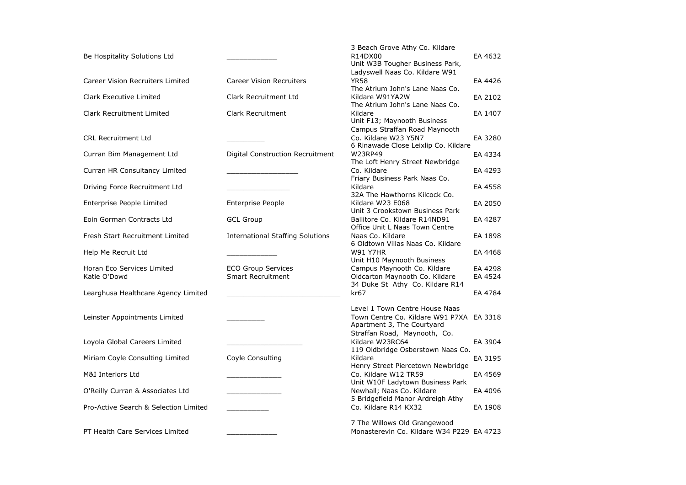|                                            |                                                       | 3 Beach Grove Athy Co. Kildare                                                                   |                    |
|--------------------------------------------|-------------------------------------------------------|--------------------------------------------------------------------------------------------------|--------------------|
| Be Hospitality Solutions Ltd               |                                                       | R14DX00<br>Unit W3B Tougher Business Park,                                                       | EA 4632            |
| Career Vision Recruiters Limited           | <b>Career Vision Recruiters</b>                       | Ladyswell Naas Co. Kildare W91<br><b>YR58</b><br>The Atrium John's Lane Naas Co.                 | EA 4426            |
| Clark Executive Limited                    | Clark Recruitment Ltd                                 | Kildare W91YA2W<br>The Atrium John's Lane Naas Co.                                               | EA 2102            |
| Clark Recruitment Limited                  | <b>Clark Recruitment</b>                              | Kildare<br>Unit F13; Maynooth Business                                                           | EA 1407            |
| <b>CRL Recruitment Ltd</b>                 |                                                       | Campus Straffan Road Maynooth<br>Co. Kildare W23 Y5N7<br>6 Rinawade Close Leixlip Co. Kildare    | EA 3280            |
| Curran Bim Management Ltd                  | Digital Construction Recruitment                      | W23RP49<br>The Loft Henry Street Newbridge                                                       | EA 4334            |
| Curran HR Consultancy Limited              |                                                       | Co. Kildare<br>Friary Business Park Naas Co.                                                     | EA 4293            |
| Driving Force Recruitment Ltd              |                                                       | Kildare<br>32A The Hawthorns Kilcock Co.                                                         | EA 4558            |
| Enterprise People Limited                  | <b>Enterprise People</b>                              | Kildare W23 E068<br>Unit 3 Crookstown Business Park                                              | EA 2050            |
| Eoin Gorman Contracts Ltd                  | <b>GCL Group</b>                                      | Ballitore Co. Kildare R14ND91<br>Office Unit L Naas Town Centre                                  | EA 4287            |
| Fresh Start Recruitment Limited            | <b>International Staffing Solutions</b>               | Naas Co. Kildare<br>6 Oldtown Villas Naas Co. Kildare                                            | EA 1898            |
| Help Me Recruit Ltd                        |                                                       | <b>W91 Y7HR</b><br>Unit H10 Maynooth Business                                                    | EA 4468            |
| Horan Eco Services Limited<br>Katie O'Dowd | <b>ECO Group Services</b><br><b>Smart Recruitment</b> | Campus Maynooth Co. Kildare<br>Oldcarton Maynooth Co. Kildare<br>34 Duke St Athy Co. Kildare R14 | EA 4298<br>EA 4524 |
| Learghusa Healthcare Agency Limited        |                                                       | kr67                                                                                             | EA 4784            |
| Leinster Appointments Limited              |                                                       | Level 1 Town Centre House Naas<br>Town Centre Co. Kildare W91 P7XA<br>Apartment 3, The Courtyard | EA 3318            |
| Loyola Global Careers Limited              |                                                       | Straffan Road, Maynooth, Co.<br>Kildare W23RC64<br>119 Oldbridge Osberstown Naas Co.             | EA 3904            |
| Miriam Coyle Consulting Limited            | Coyle Consulting                                      | Kildare<br>Henry Street Piercetown Newbridge                                                     | EA 3195            |
| M&I Interiors Ltd                          |                                                       | Co. Kildare W12 TR59<br>Unit W10F Ladytown Business Park                                         | EA 4569            |
| O'Reilly Curran & Associates Ltd           |                                                       | Newhall; Naas Co. Kildare<br>5 Bridgefield Manor Ardreigh Athy                                   | EA 4096            |
| Pro-Active Search & Selection Limited      |                                                       | Co. Kildare R14 KX32                                                                             | EA 1908            |
| PT Health Care Services Limited            |                                                       | 7 The Willows Old Grangewood<br>Monasterevin Co. Kildare W34 P229 EA 4723                        |                    |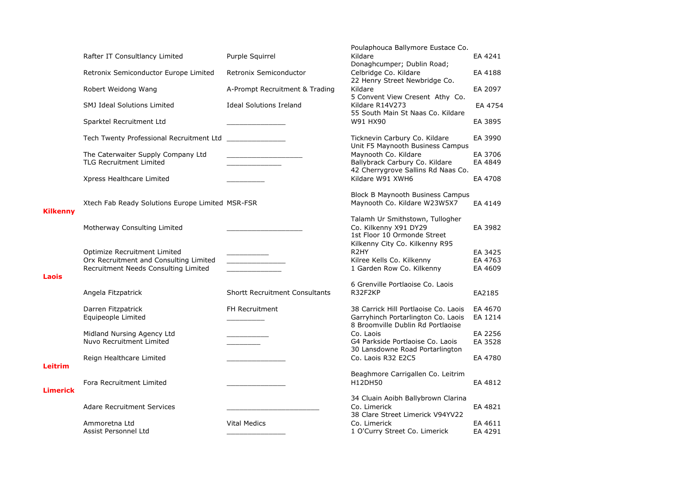|                 |                                                                                                                |                                       | Poulaphouca Ballymore Eustace Co.                                                                               |                               |
|-----------------|----------------------------------------------------------------------------------------------------------------|---------------------------------------|-----------------------------------------------------------------------------------------------------------------|-------------------------------|
|                 | Rafter IT Consultlancy Limited                                                                                 | Purple Squirrel                       | Kildare<br>Donaghcumper; Dublin Road;                                                                           | EA 4241                       |
|                 | Retronix Semiconductor Europe Limited                                                                          | Retronix Semiconductor                | Celbridge Co. Kildare<br>22 Henry Street Newbridge Co.                                                          | EA 4188                       |
|                 | Robert Weidong Wang                                                                                            | A-Prompt Recruitment & Trading        | Kildare<br>5 Convent View Cresent Athy Co.                                                                      | EA 2097                       |
|                 | <b>SMJ Ideal Solutions Limited</b>                                                                             | <b>Ideal Solutions Ireland</b>        | Kildare R14V273<br>55 South Main St Naas Co. Kildare                                                            | EA 4754                       |
|                 | Sparktel Recruitment Ltd                                                                                       |                                       | W91 HX90                                                                                                        | EA 3895                       |
|                 | Tech Twenty Professional Recruitment Ltd                                                                       |                                       | Ticknevin Carbury Co. Kildare<br>Unit F5 Maynooth Business Campus                                               | EA 3990                       |
|                 | The Caterwaiter Supply Company Ltd<br><b>TLG Recruitment Limited</b>                                           |                                       | Maynooth Co. Kildare<br>Ballybrack Carbury Co. Kildare                                                          | EA 3706<br>EA 4849            |
|                 | Xpress Healthcare Limited                                                                                      |                                       | 42 Cherrygrove Sallins Rd Naas Co.<br>Kildare W91 XWH6                                                          | EA 4708                       |
| <b>Kilkenny</b> | Xtech Fab Ready Solutions Europe Limited MSR-FSR                                                               |                                       | <b>Block B Maynooth Business Campus</b><br>Maynooth Co. Kildare W23W5X7                                         | EA 4149                       |
|                 | Motherway Consulting Limited                                                                                   |                                       | Talamh Ur Smithstown, Tullogher<br>Co. Kilkenny X91 DY29<br>1st Floor 10 Ormonde Street                         | EA 3982                       |
|                 | Optimize Recruitment Limited<br>Orx Recruitment and Consulting Limited<br>Recruitment Needs Consulting Limited |                                       | Kilkenny City Co. Kilkenny R95<br>R <sub>2</sub> HY<br>Kilree Kells Co. Kilkenny<br>1 Garden Row Co. Kilkenny   | EA 3425<br>EA 4763<br>EA 4609 |
| Laois           |                                                                                                                |                                       | 6 Grenville Portlaoise Co. Laois                                                                                |                               |
|                 | Angela Fitzpatrick                                                                                             | <b>Shortt Recruitment Consultants</b> | R32F2KP                                                                                                         | EA2185                        |
|                 | Darren Fitzpatrick<br>Equipeople Limited                                                                       | <b>FH Recruitment</b>                 | 38 Carrick Hill Portlaoise Co. Laois<br>Garryhinch Portarlington Co. Laois<br>8 Broomville Dublin Rd Portlaoise | EA 4670<br>EA 1214            |
|                 | Midland Nursing Agency Ltd<br>Nuvo Recruitment Limited                                                         |                                       | Co. Laois<br>G4 Parkside Portlaoise Co. Laois                                                                   | EA 2256<br>EA 3528            |
| Leitrim         | Reign Healthcare Limited                                                                                       |                                       | 30 Lansdowne Road Portarlington<br>Co. Laois R32 E2C5                                                           | EA 4780                       |
| <b>Limerick</b> | Fora Recruitment Limited                                                                                       |                                       | Beaghmore Carrigallen Co. Leitrim<br>H12DH50                                                                    | EA 4812                       |
|                 | <b>Adare Recruitment Services</b>                                                                              |                                       | 34 Cluain Aoibh Ballybrown Clarina<br>Co. Limerick<br>38 Clare Street Limerick V94YV22                          | EA 4821                       |
|                 | Ammoretna Ltd<br>Assist Personnel Ltd                                                                          | <b>Vital Medics</b>                   | Co. Limerick<br>1 O'Curry Street Co. Limerick                                                                   | EA 4611<br>EA 4291            |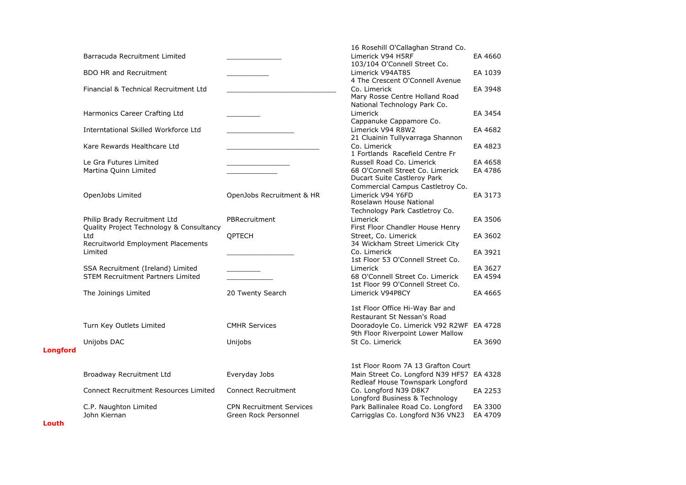|                 |                                              |                                 | 16 Rosehill O'Callaghan Strand Co.        |         |
|-----------------|----------------------------------------------|---------------------------------|-------------------------------------------|---------|
|                 | Barracuda Recruitment Limited                |                                 | Limerick V94 H5RF                         | EA 4660 |
|                 |                                              |                                 | 103/104 O'Connell Street Co.              |         |
|                 | <b>BDO HR and Recruitment</b>                |                                 | Limerick V94AT85                          | EA 1039 |
|                 |                                              |                                 | 4 The Crescent O'Connell Avenue           |         |
|                 | Financial & Technical Recruitment Ltd        |                                 | Co. Limerick                              | EA 3948 |
|                 |                                              |                                 | Mary Rosse Centre Holland Road            |         |
|                 |                                              |                                 | National Technology Park Co.              |         |
|                 | Harmonics Career Crafting Ltd                |                                 | Limerick                                  | EA 3454 |
|                 |                                              |                                 | Cappanuke Cappamore Co.                   |         |
|                 | <b>Interntational Skilled Workforce Ltd</b>  |                                 | Limerick V94 R8W2                         | EA 4682 |
|                 |                                              |                                 | 21 Cluainin Tullyvarraga Shannon          |         |
|                 | Kare Rewards Healthcare Ltd                  |                                 | Co. Limerick                              | EA 4823 |
|                 |                                              |                                 | 1 Fortlands Racefield Centre Fr           |         |
|                 | Le Gra Futures Limited                       |                                 | Russell Road Co. Limerick                 | EA 4658 |
|                 | Martina Quinn Limited                        |                                 | 68 O'Connell Street Co. Limerick          | EA 4786 |
|                 |                                              |                                 | Ducart Suite Castleroy Park               |         |
|                 |                                              |                                 | Commercial Campus Castletroy Co.          |         |
|                 | OpenJobs Limited                             | OpenJobs Recruitment & HR       | Limerick V94 Y6FD                         | EA 3173 |
|                 |                                              |                                 | Roselawn House National                   |         |
|                 |                                              |                                 | Technology Park Castletroy Co.            |         |
|                 | Philip Brady Recruitment Ltd                 | PBRecruitment                   | Limerick                                  | EA 3506 |
|                 | Quality Project Technology & Consultancy     |                                 | First Floor Chandler House Henry          |         |
|                 | Ltd                                          | QPTECH                          | Street, Co. Limerick                      | EA 3602 |
|                 | Recruitworld Employment Placements           |                                 | 34 Wickham Street Limerick City           |         |
|                 | Limited                                      |                                 | Co. Limerick                              | EA 3921 |
|                 |                                              |                                 | 1st Floor 53 O'Connell Street Co.         |         |
|                 | SSA Recruitment (Ireland) Limited            |                                 | Limerick                                  | EA 3627 |
|                 | <b>STEM Recruitment Partners Limited</b>     |                                 | 68 O'Connell Street Co. Limerick          | EA 4594 |
|                 |                                              |                                 | 1st Floor 99 O'Connell Street Co.         |         |
|                 | The Joinings Limited                         | 20 Twenty Search                | Limerick V94P8CY                          | EA 4665 |
|                 |                                              |                                 |                                           |         |
|                 |                                              |                                 | 1st Floor Office Hi-Way Bar and           |         |
|                 |                                              |                                 | Restaurant St Nessan's Road               |         |
|                 | Turn Key Outlets Limited                     | <b>CMHR Services</b>            | Dooradoyle Co. Limerick V92 R2WF EA 4728  |         |
|                 |                                              |                                 | 9th Floor Riverpoint Lower Mallow         |         |
|                 | Unijobs DAC                                  | Unijobs                         | St Co. Limerick                           | EA 3690 |
| <b>Longford</b> |                                              |                                 |                                           |         |
|                 |                                              |                                 |                                           |         |
|                 |                                              |                                 | 1st Floor Room 7A 13 Grafton Court        |         |
|                 | Broadway Recruitment Ltd                     | Everyday Jobs                   | Main Street Co. Longford N39 HF57 EA 4328 |         |
|                 |                                              |                                 | Redleaf House Townspark Longford          |         |
|                 | <b>Connect Recruitment Resources Limited</b> | <b>Connect Recruitment</b>      | Co. Longford N39 D8K7                     | EA 2253 |
|                 |                                              |                                 | Longford Business & Technology            |         |
|                 | C.P. Naughton Limited                        | <b>CPN Recruitment Services</b> | Park Ballinalee Road Co. Longford         | EA 3300 |
|                 | John Kiernan                                 | Green Rock Personnel            | Carrigglas Co. Longford N36 VN23          | EA 4709 |
|                 |                                              |                                 |                                           |         |

**Louth**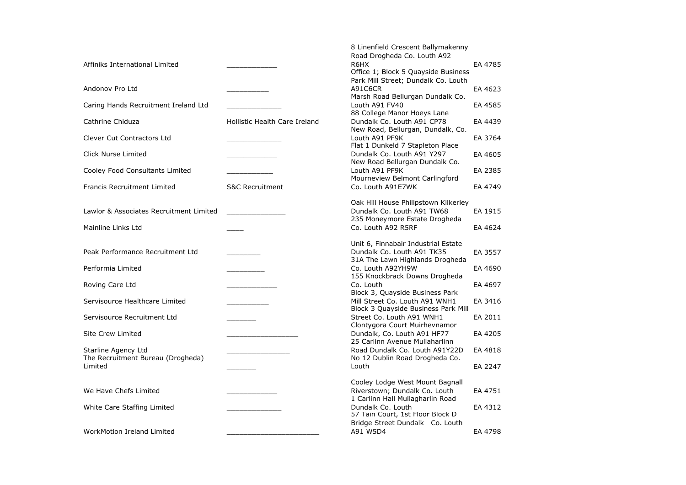|                                         |                               | 8 Linenfield Crescent Ballymakenny   |         |
|-----------------------------------------|-------------------------------|--------------------------------------|---------|
|                                         |                               | Road Drogheda Co. Louth A92          |         |
| Affiniks International Limited          |                               | R6HX                                 | EA 4785 |
|                                         |                               | Office 1; Block 5 Quayside Business  |         |
|                                         |                               | Park Mill Street; Dundalk Co. Louth  |         |
| Andonov Pro Ltd                         |                               | A91C6CR                              | EA 4623 |
|                                         |                               | Marsh Road Bellurgan Dundalk Co.     |         |
|                                         |                               | Louth A91 FV40                       | EA 4585 |
| Caring Hands Recruitment Ireland Ltd    |                               | 88 College Manor Hoeys Lane          |         |
|                                         |                               |                                      |         |
| Cathrine Chiduza                        | Hollistic Health Care Ireland | Dundalk Co. Louth A91 CP78           | EA 4439 |
|                                         |                               | New Road, Bellurgan, Dundalk, Co.    |         |
| <b>Clever Cut Contractors Ltd</b>       |                               | Louth A91 PF9K                       | EA 3764 |
|                                         |                               | Flat 1 Dunkeld 7 Stapleton Place     |         |
| Click Nurse Limited                     |                               | Dundalk Co. Louth A91 Y297           | EA 4605 |
|                                         |                               | New Road Bellurgan Dundalk Co.       |         |
| Cooley Food Consultants Limited         |                               | Louth A91 PF9K                       | EA 2385 |
|                                         |                               | Mourneview Belmont Carlingford       |         |
| <b>Francis Recruitment Limited</b>      | <b>S&amp;C Recruitment</b>    | Co. Louth A91E7WK                    | EA 4749 |
|                                         |                               |                                      |         |
|                                         |                               | Oak Hill House Philipstown Kilkerley |         |
| Lawlor & Associates Recruitment Limited |                               | Dundalk Co. Louth A91 TW68           | EA 1915 |
|                                         |                               | 235 Moneymore Estate Drogheda        |         |
| Mainline Links Ltd                      |                               | Co. Louth A92 R5RF                   | EA 4624 |
|                                         |                               |                                      |         |
|                                         |                               | Unit 6, Finnabair Industrial Estate  |         |
| Peak Performance Recruitment Ltd        |                               | Dundalk Co. Louth A91 TK35           | EA 3557 |
|                                         |                               | 31A The Lawn Highlands Drogheda      |         |
| Performia Limited                       |                               | Co. Louth A92YH9W                    | EA 4690 |
|                                         |                               | 155 Knockbrack Downs Drogheda        |         |
| Roving Care Ltd                         |                               | Co. Louth                            | EA 4697 |
|                                         |                               | Block 3, Quayside Business Park      |         |
| Servisource Healthcare Limited          |                               | Mill Street Co. Louth A91 WNH1       | EA 3416 |
|                                         |                               | Block 3 Quayside Business Park Mill  |         |
| Servisource Recruitment Ltd             |                               | Street Co. Louth A91 WNH1            | EA 2011 |
|                                         |                               | Clontygora Court Muirhevnamor        |         |
|                                         |                               |                                      |         |
| <b>Site Crew Limited</b>                |                               | Dundalk, Co. Louth A91 HF77          | EA 4205 |
|                                         |                               | 25 Carlinn Avenue Mullaharlinn       |         |
| Starline Agency Ltd                     |                               | Road Dundalk Co. Louth A91Y22D       | EA 4818 |
| The Recruitment Bureau (Drogheda)       |                               | No 12 Dublin Road Drogheda Co.       |         |
| Limited                                 |                               | Louth                                | EA 2247 |
|                                         |                               |                                      |         |
|                                         |                               | Cooley Lodge West Mount Bagnall      |         |
| We Have Chefs Limited                   |                               | Riverstown; Dundalk Co. Louth        | EA 4751 |
|                                         |                               | 1 Carlinn Hall Mullagharlin Road     |         |
| White Care Staffing Limited             |                               | Dundalk Co. Louth                    | EA 4312 |
|                                         |                               | 57 Táin Court, 1st Floor Block D     |         |
|                                         |                               | Bridge Street Dundalk Co. Louth      |         |
| WorkMotion Ireland Limited              |                               | A91 W5D4                             | EA 4798 |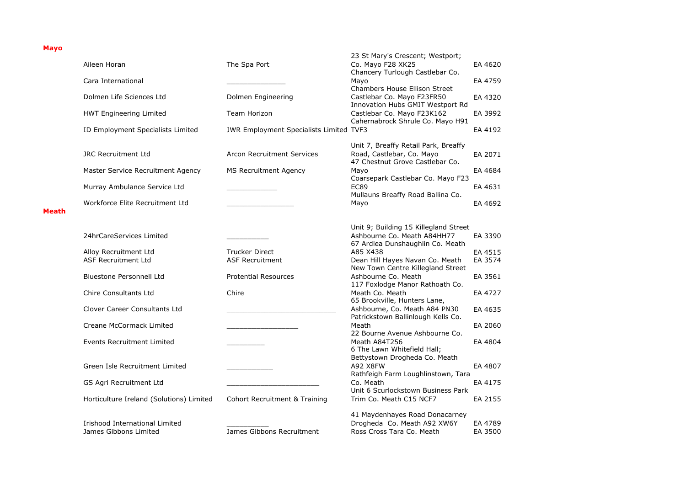## **Mayo**

|       |                                          |                                         | 23 St Mary's Crescent; Westport;                                                                         |         |
|-------|------------------------------------------|-----------------------------------------|----------------------------------------------------------------------------------------------------------|---------|
|       | Aileen Horan                             | The Spa Port                            | Co. Mayo F28 XK25                                                                                        | EA 4620 |
|       | Cara International                       |                                         | Chancery Turlough Castlebar Co.<br>Mayo<br>Chambers House Ellison Street                                 | EA 4759 |
|       | Dolmen Life Sciences Ltd                 | Dolmen Engineering                      | Castlebar Co. Mayo F23FR50<br>Innovation Hubs GMIT Westport Rd                                           | EA 4320 |
|       | <b>HWT Engineering Limited</b>           | Team Horizon                            | Castlebar Co. Mayo F23K162<br>Cahernabrock Shrule Co. Mayo H91                                           | EA 3992 |
|       | ID Employment Specialists Limited        | JWR Employment Specialists Limited TVF3 |                                                                                                          | EA 4192 |
|       | <b>JRC Recruitment Ltd</b>               | <b>Arcon Recruitment Services</b>       | Unit 7, Breaffy Retail Park, Breaffy<br>Road, Castlebar, Co. Mayo<br>47 Chestnut Grove Castlebar Co.     | EA 2071 |
|       | Master Service Recruitment Agency        | <b>MS Recruitment Agency</b>            | Mayo<br>Coarsepark Castlebar Co. Mayo F23                                                                | EA 4684 |
|       | Murray Ambulance Service Ltd             |                                         | <b>EC89</b><br>Mullauns Breaffy Road Ballina Co.                                                         | EA 4631 |
| Meath | Workforce Elite Recruitment Ltd          |                                         | Mayo                                                                                                     | EA 4692 |
|       |                                          |                                         |                                                                                                          |         |
|       | 24hrCareServices Limited                 |                                         | Unit 9; Building 15 Killegland Street<br>Ashbourne Co. Meath A84HH77<br>67 Ardlea Dunshaughlin Co. Meath | EA 3390 |
|       | Alloy Recruitment Ltd                    | <b>Trucker Direct</b>                   | A85 X438                                                                                                 | EA 4515 |
|       | <b>ASF Recruitment Ltd</b>               | <b>ASF Recruitment</b>                  | Dean Hill Hayes Navan Co. Meath<br>New Town Centre Killegland Street                                     | EA 3574 |
|       | <b>Bluestone Personnell Ltd</b>          | <b>Protential Resources</b>             | Ashbourne Co. Meath<br>117 Foxlodge Manor Rathoath Co.                                                   | EA 3561 |
|       | Chire Consultants Ltd                    | Chire                                   | Meath Co. Meath<br>65 Brookville, Hunters Lane,                                                          | EA 4727 |
|       | Clover Career Consultants Ltd            |                                         | Ashbourne, Co. Meath A84 PN30<br>Patrickstown Ballinlough Kells Co.                                      | EA 4635 |
|       | Creane McCormack Limited                 |                                         | Meath<br>22 Bourne Avenue Ashbourne Co.                                                                  | EA 2060 |
|       | <b>Events Recruitment Limited</b>        |                                         | Meath A84T256<br>6 The Lawn Whitefield Hall;<br>Bettystown Drogheda Co. Meath                            | EA 4804 |
|       | Green Isle Recruitment Limited           |                                         | A92 X8FW<br>Rathfeigh Farm Loughlinstown, Tara                                                           | EA 4807 |
|       | GS Agri Recruitment Ltd                  |                                         | Co. Meath<br>Unit 6 Scurlockstown Business Park                                                          | EA 4175 |
|       | Horticulture Ireland (Solutions) Limited | Cohort Recruitment & Training           | Trim Co. Meath C15 NCF7                                                                                  | EA 2155 |
|       |                                          |                                         | 41 Maydenhayes Road Donacarney                                                                           |         |
|       | Irishood International Limited           |                                         | Drogheda Co. Meath A92 XW6Y                                                                              | EA 4789 |
|       | James Gibbons Limited                    | James Gibbons Recruitment               | Ross Cross Tara Co. Meath                                                                                | EA 3500 |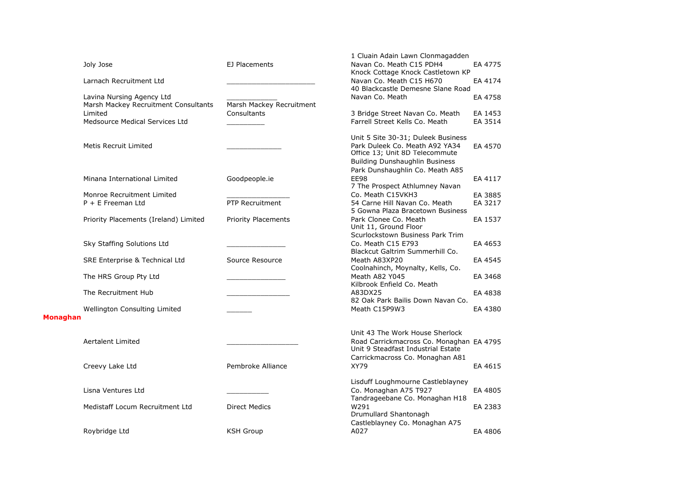|                 |                                       |                            | 1 Cluain Adain Lawn Clonmagadden                                      |         |
|-----------------|---------------------------------------|----------------------------|-----------------------------------------------------------------------|---------|
|                 | Joly Jose                             | EJ Placements              | Navan Co. Meath C15 PDH4                                              | EA 4775 |
|                 | Larnach Recruitment Ltd               |                            | Knock Cottage Knock Castletown KP<br>Navan Co. Meath C15 H670         | EA 4174 |
|                 |                                       |                            | 40 Blackcastle Demesne Slane Road                                     |         |
|                 | Lavina Nursing Agency Ltd             |                            | Navan Co. Meath                                                       | EA 4758 |
|                 | Marsh Mackey Recruitment Consultants  | Marsh Mackey Recruitment   |                                                                       |         |
|                 | Limited                               | Consultants                | 3 Bridge Street Navan Co. Meath                                       | EA 1453 |
|                 | Medsource Medical Services Ltd        |                            | Farrell Street Kells Co. Meath                                        | EA 3514 |
|                 |                                       |                            | Unit 5 Site 30-31; Duleek Business                                    |         |
|                 | Metis Recruit Limited                 |                            | Park Duleek Co. Meath A92 YA34                                        | EA 4570 |
|                 |                                       |                            | Office 13; Unit 8D Telecommute                                        |         |
|                 |                                       |                            | <b>Building Dunshaughlin Business</b>                                 |         |
|                 |                                       |                            | Park Dunshaughlin Co. Meath A85                                       |         |
|                 | Minana International Limited          | Goodpeople.ie              | <b>EE98</b>                                                           | EA 4117 |
|                 | Monroe Recruitment Limited            |                            | 7 The Prospect Athlumney Navan<br>Co. Meath C15VKH3                   | EA 3885 |
|                 | $P + E$ Freeman Ltd                   | PTP Recruitment            | 54 Carne Hill Navan Co. Meath                                         | EA 3217 |
|                 |                                       |                            | 5 Gowna Plaza Bracetown Business                                      |         |
|                 | Priority Placements (Ireland) Limited | <b>Priority Placements</b> | Park Clonee Co. Meath                                                 | EA 1537 |
|                 |                                       |                            | Unit 11, Ground Floor                                                 |         |
|                 |                                       |                            | Scurlockstown Business Park Trim                                      |         |
|                 | Sky Staffing Solutions Ltd            |                            | Co. Meath C15 E793<br>Blackcut Galtrim Summerhill Co.                 | EA 4653 |
|                 | SRE Enterprise & Technical Ltd        | Source Resource            | Meath A83XP20                                                         | EA 4545 |
|                 |                                       |                            | Coolnahinch, Moynalty, Kells, Co.                                     |         |
|                 | The HRS Group Pty Ltd                 |                            | Meath A82 Y045                                                        | EA 3468 |
|                 |                                       |                            | Kilbrook Enfield Co. Meath                                            |         |
|                 | The Recruitment Hub                   |                            | A83DX25<br>82 Oak Park Bailis Down Navan Co.                          | EA 4838 |
|                 | Wellington Consulting Limited         |                            | Meath C15P9W3                                                         | EA 4380 |
| <b>Monaghan</b> |                                       |                            |                                                                       |         |
|                 |                                       |                            |                                                                       |         |
|                 |                                       |                            | Unit 43 The Work House Sherlock                                       |         |
|                 | <b>Aertalent Limited</b>              |                            | Road Carrickmacross Co. Monaghan EA 4795                              |         |
|                 |                                       |                            | Unit 9 Steadfast Industrial Estate<br>Carrickmacross Co. Monaghan A81 |         |
|                 | Creevy Lake Ltd                       | Pembroke Alliance          | <b>XY79</b>                                                           | EA 4615 |
|                 |                                       |                            |                                                                       |         |
|                 |                                       |                            | Lisduff Loughmourne Castleblayney                                     |         |
|                 | Lisna Ventures Ltd                    |                            | Co. Monaghan A75 T927                                                 | EA 4805 |
|                 |                                       |                            | Tandrageebane Co. Monaghan H18                                        |         |
|                 | Medistaff Locum Recruitment Ltd       | <b>Direct Medics</b>       | W291<br>Drumullard Shantonagh                                         | EA 2383 |
|                 |                                       |                            | Castleblayney Co. Monaghan A75                                        |         |
|                 | Roybridge Ltd                         | <b>KSH Group</b>           | A027                                                                  | EA 4806 |
|                 |                                       |                            |                                                                       |         |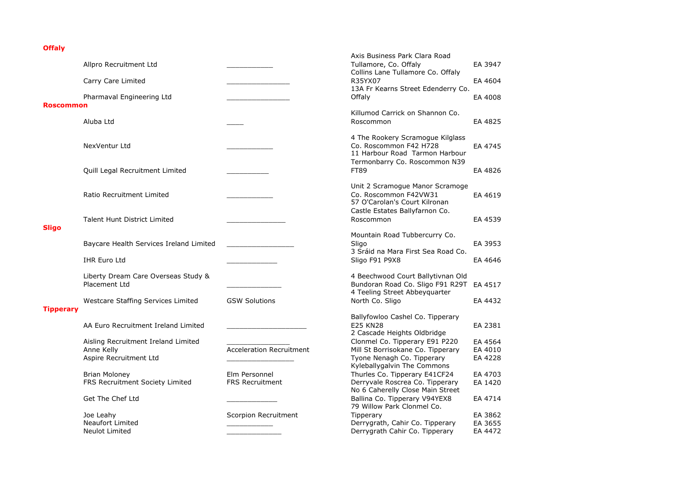## **Offaly**

|                  | Allpro Recruitment Ltd                                                      |                                         | Axis Business Park Clara Road<br>Tullamore, Co. Offaly                                                                              | EA 3947                       |
|------------------|-----------------------------------------------------------------------------|-----------------------------------------|-------------------------------------------------------------------------------------------------------------------------------------|-------------------------------|
|                  | Carry Care Limited                                                          |                                         | Collins Lane Tullamore Co. Offaly<br>R35YX07                                                                                        | EA 4604                       |
| <b>Roscommon</b> | Pharmaval Engineering Ltd                                                   |                                         | 13A Fr Kearns Street Edenderry Co.<br>Offalv                                                                                        | EA 4008                       |
|                  | Aluba Ltd                                                                   |                                         | Killumod Carrick on Shannon Co.<br>Roscommon                                                                                        | EA 4825                       |
|                  | NexVentur Ltd                                                               |                                         | 4 The Rookery Scramogue Kilglass<br>Co. Roscommon F42 H728<br>11 Harbour Road Tarmon Harbour                                        | EA 4745                       |
|                  | Quill Legal Recruitment Limited                                             |                                         | Termonbarry Co. Roscommon N39<br><b>FT89</b>                                                                                        | EA 4826                       |
|                  | Ratio Recruitment Limited                                                   |                                         | Unit 2 Scramogue Manor Scramoge<br>Co. Roscommon F42VW31<br>57 O'Carolan's Court Kilronan                                           | EA 4619                       |
| <b>Sligo</b>     | <b>Talent Hunt District Limited</b>                                         |                                         | Castle Estates Ballyfarnon Co.<br>Roscommon                                                                                         | EA 4539                       |
|                  | Baycare Health Services Ireland Limited                                     |                                         | Mountain Road Tubbercurry Co.<br>Sligo<br>3 Sráid na Mara First Sea Road Co.                                                        | EA 3953                       |
|                  | <b>IHR Euro Ltd</b>                                                         |                                         | Sligo F91 P9X8                                                                                                                      | EA 4646                       |
|                  | Liberty Dream Care Overseas Study &<br>Placement Ltd                        |                                         | 4 Beechwood Court Ballytivnan Old<br>Bundoran Road Co. Sligo F91 R29T<br>4 Teeling Street Abbeyquarter                              | EA 4517                       |
| <b>Tipperary</b> | Westcare Staffing Services Limited                                          | <b>GSW Solutions</b>                    | North Co. Sligo                                                                                                                     | EA 4432                       |
|                  | AA Euro Recruitment Ireland Limited                                         |                                         | Ballyfowloo Cashel Co. Tipperary<br><b>E25 KN28</b><br>2 Cascade Heights Oldbridge                                                  | EA 2381                       |
|                  | Aisling Recruitment Ireland Limited<br>Anne Kelly<br>Aspire Recruitment Ltd | <b>Acceleration Recruitment</b>         | Clonmel Co. Tipperary E91 P220<br>Mill St Borrisokane Co. Tipperary<br>Tyone Nenagh Co. Tipperary                                   | EA 4564<br>EA 4010<br>EA 4228 |
|                  | Brian Moloney<br>FRS Recruitment Society Limited                            | Elm Personnel<br><b>FRS Recruitment</b> | Kyleballygalvin The Commons<br>Thurles Co. Tipperary E41CF24<br>Derryvale Roscrea Co. Tipperary<br>No 6 Caherelly Close Main Street | EA 4703<br>EA 1420            |
|                  | Get The Chef Ltd                                                            |                                         | Ballina Co. Tipperary V94YEX8<br>79 Willow Park Clonmel Co.                                                                         | EA 4714                       |
|                  | Joe Leahy<br><b>Neaufort Limited</b><br>Neulot Limited                      | Scorpion Recruitment                    | Tipperary<br>Derrygrath, Cahir Co. Tipperary<br>Derrygrath Cahir Co. Tipperary                                                      | EA 3862<br>EA 3655<br>EA 4472 |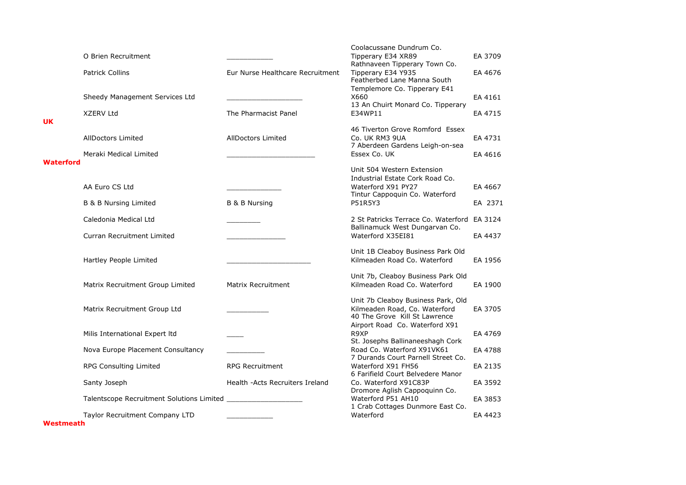|                  | O Brien Recruitment                                 |                                  | Coolacussane Dundrum Co.<br>Tipperary E34 XR89<br>Rathnaveen Tipperary Town Co.                                       | EA 3709            |
|------------------|-----------------------------------------------------|----------------------------------|-----------------------------------------------------------------------------------------------------------------------|--------------------|
|                  | <b>Patrick Collins</b>                              | Eur Nurse Healthcare Recruitment | Tipperary E34 Y935<br>Featherbed Lane Manna South                                                                     | EA 4676            |
|                  | Sheedy Management Services Ltd                      |                                  | Templemore Co. Tipperary E41<br>X660<br>13 An Chuirt Monard Co. Tipperary                                             | EA 4161            |
| <b>UK</b>        | <b>XZERV Ltd</b>                                    | The Pharmacist Panel             | E34WP11                                                                                                               | EA 4715            |
|                  | <b>AllDoctors Limited</b><br>Meraki Medical Limited | <b>AllDoctors Limited</b>        | 46 Tiverton Grove Romford Essex<br>Co. UK RM3 9UA<br>7 Aberdeen Gardens Leigh-on-sea<br>Essex Co. UK                  | EA 4731<br>EA 4616 |
| <b>Waterford</b> |                                                     |                                  |                                                                                                                       |                    |
|                  | AA Euro CS Ltd                                      |                                  | Unit 504 Western Extension<br>Industrial Estate Cork Road Co.<br>Waterford X91 PY27<br>Tintur Cappoquin Co. Waterford | EA 4667            |
|                  | <b>B &amp; B Nursing Limited</b>                    | B & B Nursing                    | P51R5Y3                                                                                                               | EA 2371            |
|                  | Caledonia Medical Ltd                               |                                  | 2 St Patricks Terrace Co. Waterford EA 3124<br>Ballinamuck West Dungarvan Co.                                         |                    |
|                  | <b>Curran Recruitment Limited</b>                   |                                  | Waterford X35EI81                                                                                                     | EA 4437            |
|                  | Hartley People Limited                              |                                  | Unit 1B Cleaboy Business Park Old<br>Kilmeaden Road Co. Waterford                                                     | EA 1956            |
|                  | Matrix Recruitment Group Limited                    | Matrix Recruitment               | Unit 7b, Cleaboy Business Park Old<br>Kilmeaden Road Co. Waterford                                                    | EA 1900            |
|                  | Matrix Recruitment Group Ltd                        |                                  | Unit 7b Cleaboy Business Park, Old<br>Kilmeaden Road, Co. Waterford<br>40 The Grove Kill St Lawrence                  | EA 3705            |
|                  | Milis International Expert Itd                      |                                  | Airport Road Co. Waterford X91<br>R9XP                                                                                | EA 4769            |
|                  | Nova Europe Placement Consultancy                   |                                  | St. Josephs Ballinaneeshagh Cork<br>Road Co. Waterford X91VK61<br>7 Durands Court Parnell Street Co.                  | EA 4788            |
|                  | <b>RPG Consulting Limited</b>                       | <b>RPG Recruitment</b>           | Waterford X91 FH56<br>6 Farifield Court Belvedere Manor                                                               | EA 2135            |
|                  | Santy Joseph                                        | Health -Acts Recruiters Ireland  | Co. Waterford X91C83P<br>Dromore Aglish Cappoquinn Co.                                                                | EA 3592            |
|                  |                                                     |                                  | Waterford P51 AH10<br>1 Crab Cottages Dunmore East Co.                                                                | EA 3853            |
| Westmeath        | Taylor Recruitment Company LTD                      |                                  | Waterford                                                                                                             | EA 4423            |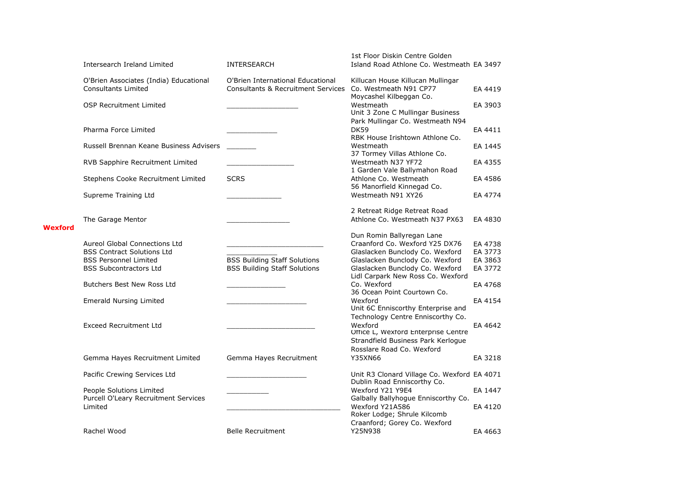|         | Intersearch Ireland Limited                                                                                                                | INTERSEARCH                                                                        | 1st Floor Diskin Centre Golden<br>Island Road Athlone Co. Westmeath EA 3497                                                                                          |                                          |
|---------|--------------------------------------------------------------------------------------------------------------------------------------------|------------------------------------------------------------------------------------|----------------------------------------------------------------------------------------------------------------------------------------------------------------------|------------------------------------------|
|         | O'Brien Associates (India) Educational<br><b>Consultants Limited</b>                                                                       | O'Brien International Educational<br><b>Consultants &amp; Recruitment Services</b> | Killucan House Killucan Mullingar<br>Co. Westmeath N91 CP77                                                                                                          | EA 4419                                  |
|         | <b>OSP Recruitment Limited</b>                                                                                                             |                                                                                    | Moycashel Kilbeggan Co.<br>Westmeath                                                                                                                                 | EA 3903                                  |
|         | Pharma Force Limited                                                                                                                       |                                                                                    | Unit 3 Zone C Mullingar Business<br>Park Mullingar Co. Westmeath N94<br><b>DK59</b><br>RBK House Irishtown Athlone Co.                                               | EA 4411                                  |
|         | Russell Brennan Keane Business Advisers                                                                                                    |                                                                                    | Westmeath<br>37 Tormey Villas Athlone Co.                                                                                                                            | EA 1445                                  |
|         | RVB Sapphire Recruitment Limited                                                                                                           |                                                                                    | Westmeath N37 YF72<br>1 Garden Vale Ballymahon Road                                                                                                                  | EA 4355                                  |
|         | Stephens Cooke Recruitment Limited                                                                                                         | <b>SCRS</b>                                                                        | Athlone Co. Westmeath<br>56 Manorfield Kinnegad Co.                                                                                                                  | EA 4586                                  |
|         | Supreme Training Ltd                                                                                                                       |                                                                                    | Westmeath N91 XY26                                                                                                                                                   | EA 4774                                  |
| Wexford | The Garage Mentor                                                                                                                          |                                                                                    | 2 Retreat Ridge Retreat Road<br>Athlone Co. Westmeath N37 PX63                                                                                                       | EA 4830                                  |
|         | <b>Aureol Global Connections Ltd</b><br><b>BSS Contract Solutions Ltd</b><br><b>BSS Personnel Limited</b><br><b>BSS Subcontractors Ltd</b> | <b>BSS Building Staff Solutions</b><br><b>BSS Building Staff Solutions</b>         | Dun Romin Ballyregan Lane<br>Craanford Co. Wexford Y25 DX76<br>Glaslacken Bunclody Co. Wexford<br>Glaslacken Bunclody Co. Wexford<br>Glaslacken Bunclody Co. Wexford | EA 4738<br>EA 3773<br>EA 3863<br>EA 3772 |
|         | Butchers Best New Ross Ltd                                                                                                                 |                                                                                    | Lidl Carpark New Ross Co. Wexford<br>Co. Wexford                                                                                                                     | EA 4768                                  |
|         | <b>Emerald Nursing Limited</b>                                                                                                             |                                                                                    | 36 Ocean Point Courtown Co.<br>Wexford                                                                                                                               | EA 4154                                  |
|         | <b>Exceed Recruitment Ltd</b>                                                                                                              |                                                                                    | Unit 6C Enniscorthy Enterprise and<br>Technology Centre Enniscorthy Co.<br>Wexford<br>Office L, Wexford Enterprise Centre<br>Strandfield Business Park Kerlogue      | EA 4642                                  |
|         | Gemma Hayes Recruitment Limited                                                                                                            | Gemma Hayes Recruitment                                                            | Rosslare Road Co. Wexford<br>Y35XN66                                                                                                                                 | EA 3218                                  |
|         | Pacific Crewing Services Ltd                                                                                                               |                                                                                    | Unit R3 Clonard Village Co. Wexford EA 4071                                                                                                                          |                                          |
|         | People Solutions Limited<br>Purcell O'Leary Recruitment Services                                                                           |                                                                                    | Dublin Road Enniscorthy Co.<br>Wexford Y21 Y9E4<br>Galbally Ballyhogue Enniscorthy Co.                                                                               | EA 1447                                  |
|         | Limited                                                                                                                                    |                                                                                    | Wexford Y21A586<br>Roker Lodge; Shrule Kilcomb                                                                                                                       | EA 4120                                  |
|         | Rachel Wood                                                                                                                                | <b>Belle Recruitment</b>                                                           | Craanford; Gorey Co. Wexford<br>Y25N938                                                                                                                              | EA 4663                                  |